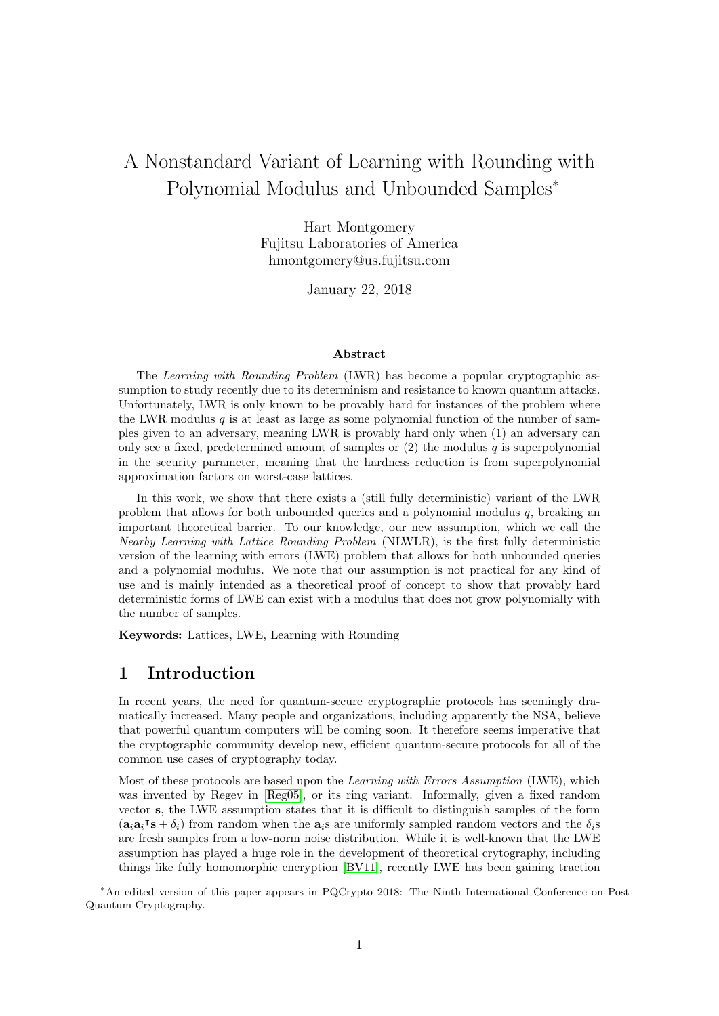# A Nonstandard Variant of Learning with Rounding with Polynomial Modulus and Unbounded Samples<sup>∗</sup>

Hart Montgomery Fujitsu Laboratories of America hmontgomery@us.fujitsu.com

January 22, 2018

#### Abstract

The Learning with Rounding Problem (LWR) has become a popular cryptographic assumption to study recently due to its determinism and resistance to known quantum attacks. Unfortunately, LWR is only known to be provably hard for instances of the problem where the LWR modulus q is at least as large as some polynomial function of the number of samples given to an adversary, meaning LWR is provably hard only when (1) an adversary can only see a fixed, predetermined amount of samples or  $(2)$  the modulus q is superpolynomial in the security parameter, meaning that the hardness reduction is from superpolynomial approximation factors on worst-case lattices.

In this work, we show that there exists a (still fully deterministic) variant of the LWR problem that allows for both unbounded queries and a polynomial modulus  $q$ , breaking an important theoretical barrier. To our knowledge, our new assumption, which we call the Nearby Learning with Lattice Rounding Problem (NLWLR), is the first fully deterministic version of the learning with errors (LWE) problem that allows for both unbounded queries and a polynomial modulus. We note that our assumption is not practical for any kind of use and is mainly intended as a theoretical proof of concept to show that provably hard deterministic forms of LWE can exist with a modulus that does not grow polynomially with the number of samples.

Keywords: Lattices, LWE, Learning with Rounding

# 1 Introduction

In recent years, the need for quantum-secure cryptographic protocols has seemingly dramatically increased. Many people and organizations, including apparently the NSA, believe that powerful quantum computers will be coming soon. It therefore seems imperative that the cryptographic community develop new, efficient quantum-secure protocols for all of the common use cases of cryptography today.

Most of these protocols are based upon the Learning with Errors Assumption (LWE), which was invented by Regev in [\[Reg05\]](#page-20-0), or its ring variant. Informally, given a fixed random vector s, the LWE assumption states that it is difficult to distinguish samples of the form  $(a_i a_i^{\dagger} s + \delta_i)$  from random when the  $a_i s$  are uniformly sampled random vectors and the  $\delta_i s$ are fresh samples from a low-norm noise distribution. While it is well-known that the LWE assumption has played a huge role in the development of theoretical crytography, including things like fully homomorphic encryption [\[BV11\]](#page-19-0), recently LWE has been gaining traction

<sup>∗</sup>An edited version of this paper appears in PQCrypto 2018: The Ninth International Conference on Post-Quantum Cryptography.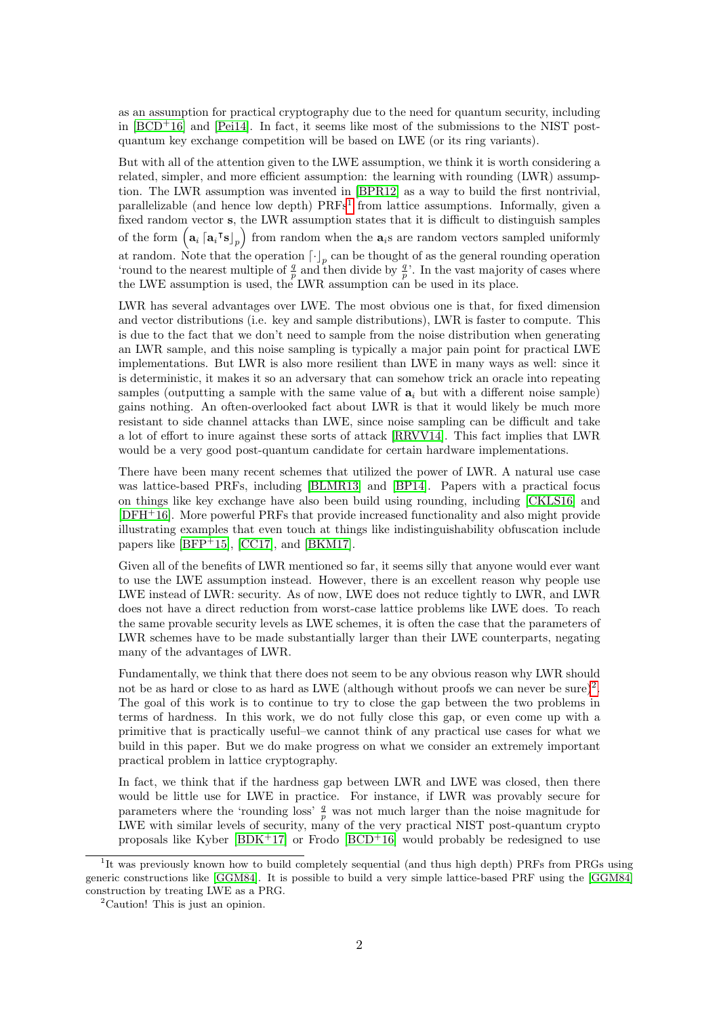as an assumption for practical cryptography due to the need for quantum security, including in  $[BCD+16]$  $[BCD+16]$  and  $[Pei14]$ . In fact, it seems like most of the submissions to the NIST postquantum key exchange competition will be based on LWE (or its ring variants).

But with all of the attention given to the LWE assumption, we think it is worth considering a related, simpler, and more efficient assumption: the learning with rounding (LWR) assumption. The LWR assumption was invented in [\[BPR12\]](#page-19-1) as a way to build the first nontrivial, parallelizable (and hence low depth) PRFs<sup>[1](#page-1-0)</sup> from lattice assumptions. Informally, given a fixed random vector s, the LWR assumption states that it is difficult to distinguish samples of the form  $\left(a_i \begin{bmatrix} a_i^T s \end{bmatrix}_p\right)$  from random when the  $a_i$ s are random vectors sampled uniformly at random. Note that the operation  $\lceil \cdot \rfloor_p$  can be thought of as the general rounding operation 'round to the nearest multiple of  $\frac{q}{p}$  and then divide by  $\frac{q}{p}$ '. In the vast majority of cases where the LWE assumption is used, the LWR assumption can be used in its place.

LWR has several advantages over LWE. The most obvious one is that, for fixed dimension and vector distributions (i.e. key and sample distributions), LWR is faster to compute. This is due to the fact that we don't need to sample from the noise distribution when generating an LWR sample, and this noise sampling is typically a major pain point for practical LWE implementations. But LWR is also more resilient than LWE in many ways as well: since it is deterministic, it makes it so an adversary that can somehow trick an oracle into repeating samples (outputting a sample with the same value of  $a_i$  but with a different noise sample) gains nothing. An often-overlooked fact about LWR is that it would likely be much more resistant to side channel attacks than LWE, since noise sampling can be difficult and take a lot of effort to inure against these sorts of attack [\[RRVV14\]](#page-20-2). This fact implies that LWR would be a very good post-quantum candidate for certain hardware implementations.

There have been many recent schemes that utilized the power of LWR. A natural use case was lattice-based PRFs, including [\[BLMR13\]](#page-19-2) and [\[BP14\]](#page-19-3). Papers with a practical focus on things like key exchange have also been build using rounding, including [\[CKLS16\]](#page-19-4) and [\[DFH](#page-19-5)+16]. More powerful PRFs that provide increased functionality and also might provide illustrating examples that even touch at things like indistinguishability obfuscation include papers like [\[BFP](#page-18-1)+15], [\[CC17\]](#page-19-6), and [\[BKM17\]](#page-19-7).

Given all of the benefits of LWR mentioned so far, it seems silly that anyone would ever want to use the LWE assumption instead. However, there is an excellent reason why people use LWE instead of LWR: security. As of now, LWE does not reduce tightly to LWR, and LWR does not have a direct reduction from worst-case lattice problems like LWE does. To reach the same provable security levels as LWE schemes, it is often the case that the parameters of LWR schemes have to be made substantially larger than their LWE counterparts, negating many of the advantages of LWR.

Fundamentally, we think that there does not seem to be any obvious reason why LWR should not be as hard or close to as hard as LWE (although without proofs we can never be sure)<sup>[2](#page-1-1)</sup>. The goal of this work is to continue to try to close the gap between the two problems in terms of hardness. In this work, we do not fully close this gap, or even come up with a primitive that is practically useful–we cannot think of any practical use cases for what we build in this paper. But we do make progress on what we consider an extremely important practical problem in lattice cryptography.

In fact, we think that if the hardness gap between LWR and LWE was closed, then there would be little use for LWE in practice. For instance, if LWR was provably secure for parameters where the 'rounding loss'  $\frac{q}{p}$  was not much larger than the noise magnitude for LWE with similar levels of security, many of the very practical NIST post-quantum crypto proposals like Kyber  $[BDK+17]$  $[BDK+17]$  or Frodo  $[BCD+16]$  $[BCD+16]$  would probably be redesigned to use

<span id="page-1-0"></span><sup>&</sup>lt;sup>1</sup>It was previously known how to build completely sequential (and thus high depth) PRFs from PRGs using generic constructions like [\[GGM84\]](#page-19-8). It is possible to build a very simple lattice-based PRF using the [\[GGM84\]](#page-19-8) construction by treating LWE as a PRG.

<span id="page-1-1"></span><sup>2</sup>Caution! This is just an opinion.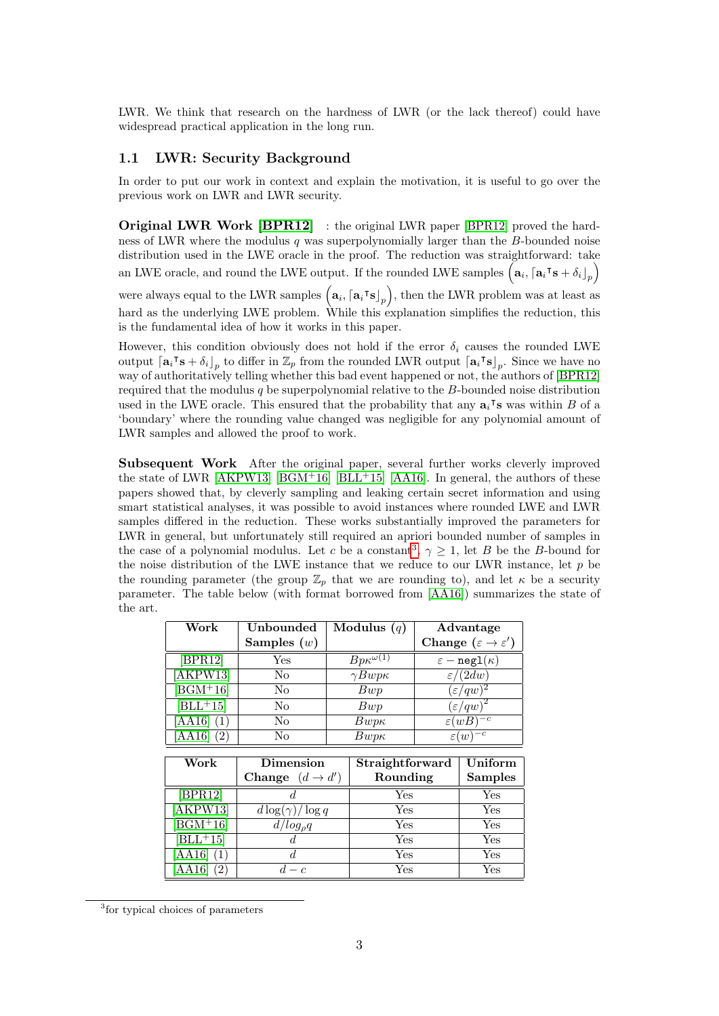LWR. We think that research on the hardness of LWR (or the lack thereof) could have widespread practical application in the long run.

### 1.1 LWR: Security Background

In order to put our work in context and explain the motivation, it is useful to go over the previous work on LWR and LWR security.

Original LWR Work [\[BPR12\]](#page-19-1) : the original LWR paper [\[BPR12\]](#page-19-1) proved the hardness of LWR where the modulus q was superpolynomially larger than the B-bounded noise distribution used in the LWE oracle in the proof. The reduction was straightforward: take an LWE oracle, and round the LWE output. If the rounded LWE samples  $(\mathbf{a}_i, [\mathbf{a}_i]^\intercal \mathbf{s} + \delta_i]_p)$ 

were always equal to the LWR samples  $(\mathbf{a}_i, [\mathbf{a}_i^{\mathsf{T}} \mathbf{s}]_p)$ , then the LWR problem was at least as hard as the underlying LWE problem. While this explanation simplifies the reduction, this is the fundamental idea of how it works in this paper.

However, this condition obviously does not hold if the error  $\delta_i$  causes the rounded LWE output  $[a_i^{\dagger} s + \delta_i]_p$  to differ in  $\mathbb{Z}_p$  from the rounded LWR output  $[a_i^{\dagger} s]_p$ . Since we have no way of authoritatively telling whether this bad event happened or not, the authors of [\[BPR12\]](#page-19-1) required that the modulus  $q$  be superpolynomial relative to the  $B$ -bounded noise distribution used in the LWE oracle. This ensured that the probability that any  $a_i$ <sup>T</sup>s was within B of a 'boundary' where the rounding value changed was negligible for any polynomial amount of LWR samples and allowed the proof to work.

Subsequent Work After the original paper, several further works cleverly improved the state of LWR  $[AKPW13] [BGM<sup>+</sup>16] [BLL<sup>+</sup>15] [AA16]$  $[AKPW13] [BGM<sup>+</sup>16] [BLL<sup>+</sup>15] [AA16]$  $[AKPW13] [BGM<sup>+</sup>16] [BLL<sup>+</sup>15] [AA16]$  $[AKPW13] [BGM<sup>+</sup>16] [BLL<sup>+</sup>15] [AA16]$  $[AKPW13] [BGM<sup>+</sup>16] [BLL<sup>+</sup>15] [AA16]$  $[AKPW13] [BGM<sup>+</sup>16] [BLL<sup>+</sup>15] [AA16]$  $[AKPW13] [BGM<sup>+</sup>16] [BLL<sup>+</sup>15] [AA16]$ . In general, the authors of these papers showed that, by cleverly sampling and leaking certain secret information and using smart statistical analyses, it was possible to avoid instances where rounded LWE and LWR samples differed in the reduction. These works substantially improved the parameters for LWR in general, but unfortunately still required an apriori bounded number of samples in the case of a polynomial modulus. Let c be a constant<sup>[3](#page-2-0)</sup>,  $\gamma \geq 1$ , let B be the B-bound for the noise distribution of the LWE instance that we reduce to our LWR instance, let  $p$  be the rounding parameter (the group  $\mathbb{Z}_p$  that we are rounding to), and let  $\kappa$  be a security parameter. The table below (with format borrowed from [\[AA16\]](#page-18-5)) summarizes the state of the art.

| Work                          | Unbounded     | Modulus $(q)$          | Advantage                               |  |
|-------------------------------|---------------|------------------------|-----------------------------------------|--|
|                               | Samples $(w)$ |                        | Change $(\varepsilon \to \varepsilon')$ |  |
| BPR12                         | Yes           | $Bp\kappa^{\omega(1)}$ | $\varepsilon$ - negl( $\kappa$ )        |  |
| $\overline{\text{[AKPW13]}}$  | No            | $\gamma B w p \kappa$  | $\varepsilon/(2dw)$                     |  |
| $\overline{\text{BGM}^{+}16}$ | No            | Bwp                    | $(\varepsilon / q w)^2$                 |  |
| $ BLL+15 $                    | No            | Bwp                    | $(\varepsilon/qw)^2$                    |  |
| [AA16]                        | No            | $Bwp\kappa$            | $\varepsilon(wB)$                       |  |
| AA16                          | No            | $Bwp\kappa$            | $\varepsilon(w)$                        |  |

| Work                        | <b>Dimension</b>            | Straightforward      | Uniform        |
|-----------------------------|-----------------------------|----------------------|----------------|
|                             | Change $(d \rightarrow d')$ | Rounding             | <b>Samples</b> |
| BPR12                       |                             | $\operatorname{Yes}$ | Yes            |
| AKPW13                      | $d\log(\gamma)/\log q$      | $\operatorname{Yes}$ | Yes            |
| $\overline{\text{BGM}^+16}$ | $d/log_{\rho}q$             | Yes                  | Yes            |
| $ BLL+15 $                  |                             | Yes                  | Yes            |
| [AA16]                      |                             | Yes                  | Yes            |
| AA1                         | $d-c$                       | Yes                  | Yes            |

<span id="page-2-0"></span><sup>3</sup> for typical choices of parameters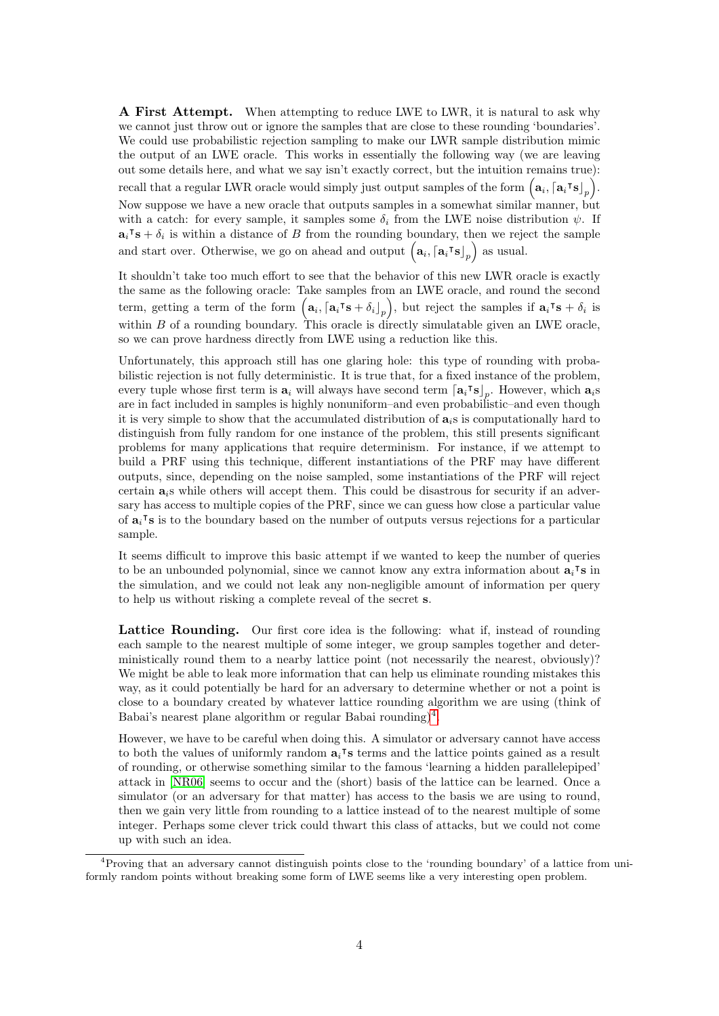A First Attempt. When attempting to reduce LWE to LWR, it is natural to ask why we cannot just throw out or ignore the samples that are close to these rounding 'boundaries'. We could use probabilistic rejection sampling to make our LWR sample distribution mimic the output of an LWE oracle. This works in essentially the following way (we are leaving out some details here, and what we say isn't exactly correct, but the intuition remains true): recall that a regular LWR oracle would simply just output samples of the form  $\left(\mathbf{a}_i, \left[\mathbf{a}_i^{\intercal} \mathbf{s}\right]_p\right)$ . Now suppose we have a new oracle that outputs samples in a somewhat similar manner, but with a catch: for every sample, it samples some  $\delta_i$  from the LWE noise distribution  $\psi$ . If  $a_i^{\dagger} s + \delta_i$  is within a distance of B from the rounding boundary, then we reject the sample and start over. Otherwise, we go on ahead and output  $(a_i, [a_i] \cdot s)_p$  as usual.

It shouldn't take too much effort to see that the behavior of this new LWR oracle is exactly the same as the following oracle: Take samples from an LWE oracle, and round the second term, getting a term of the form  $(\mathbf{a}_i, [\mathbf{a}_i] \cdot \mathbf{s} + \delta_i]_p$ , but reject the samples if  $\mathbf{a}_i \cdot \mathbf{s} + \delta_i$  is within  $B$  of a rounding boundary. This oracle is directly simulatable given an LWE oracle, so we can prove hardness directly from LWE using a reduction like this.

Unfortunately, this approach still has one glaring hole: this type of rounding with probabilistic rejection is not fully deterministic. It is true that, for a fixed instance of the problem, every tuple whose first term is  $a_i$  will always have second term  $[a_i^T s]_p$ . However, which  $a_i s$ are in fact included in samples is highly nonuniform–and even probabilistic–and even though it is very simple to show that the accumulated distribution of  $a_i$ s is computationally hard to distinguish from fully random for one instance of the problem, this still presents significant problems for many applications that require determinism. For instance, if we attempt to build a PRF using this technique, different instantiations of the PRF may have different outputs, since, depending on the noise sampled, some instantiations of the PRF will reject certain  $a_i$ s while others will accept them. This could be disastrous for security if an adversary has access to multiple copies of the PRF, since we can guess how close a particular value of  $\mathbf{a}_i$ <sup>T</sup>s is to the boundary based on the number of outputs versus rejections for a particular sample.

It seems difficult to improve this basic attempt if we wanted to keep the number of queries to be an unbounded polynomial, since we cannot know any extra information about  $\mathbf{a}_i$ <sup>T</sup>s in the simulation, and we could not leak any non-negligible amount of information per query to help us without risking a complete reveal of the secret s.

Lattice Rounding. Our first core idea is the following: what if, instead of rounding each sample to the nearest multiple of some integer, we group samples together and deterministically round them to a nearby lattice point (not necessarily the nearest, obviously)? We might be able to leak more information that can help us eliminate rounding mistakes this way, as it could potentially be hard for an adversary to determine whether or not a point is close to a boundary created by whatever lattice rounding algorithm we are using (think of Babai's nearest plane algorithm or regular Babai rounding)<sup>[4](#page-3-0)</sup>.

However, we have to be careful when doing this. A simulator or adversary cannot have access to both the values of uniformly random  $a_i$ <sup>T</sup>s terms and the lattice points gained as a result of rounding, or otherwise something similar to the famous 'learning a hidden parallelepiped' attack in [\[NR06\]](#page-20-3) seems to occur and the (short) basis of the lattice can be learned. Once a simulator (or an adversary for that matter) has access to the basis we are using to round, then we gain very little from rounding to a lattice instead of to the nearest multiple of some integer. Perhaps some clever trick could thwart this class of attacks, but we could not come up with such an idea.

<span id="page-3-0"></span><sup>4</sup>Proving that an adversary cannot distinguish points close to the 'rounding boundary' of a lattice from uniformly random points without breaking some form of LWE seems like a very interesting open problem.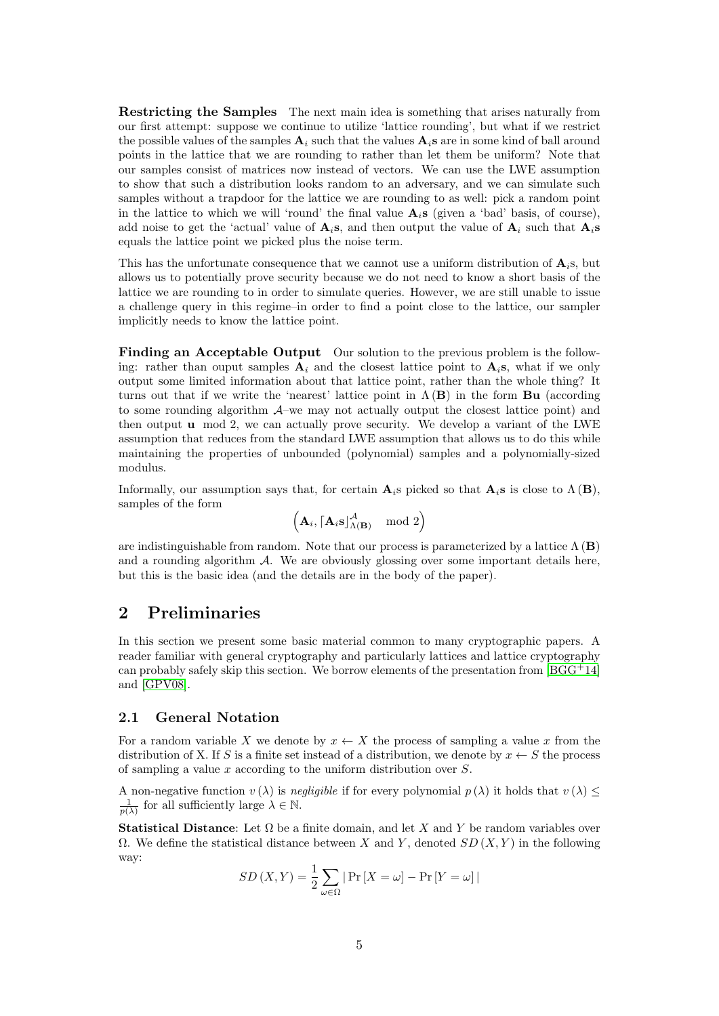Restricting the Samples The next main idea is something that arises naturally from our first attempt: suppose we continue to utilize 'lattice rounding', but what if we restrict the possible values of the samples  $A_i$  such that the values  $A_i$ s are in some kind of ball around points in the lattice that we are rounding to rather than let them be uniform? Note that our samples consist of matrices now instead of vectors. We can use the LWE assumption to show that such a distribution looks random to an adversary, and we can simulate such samples without a trapdoor for the lattice we are rounding to as well: pick a random point in the lattice to which we will 'round' the final value  $\mathbf{A}_i$ s (given a 'bad' basis, of course), add noise to get the 'actual' value of  $A_i$ s, and then output the value of  $A_i$  such that  $A_i$ s equals the lattice point we picked plus the noise term.

This has the unfortunate consequence that we cannot use a uniform distribution of  $\mathbf{A}_i$ s, but allows us to potentially prove security because we do not need to know a short basis of the lattice we are rounding to in order to simulate queries. However, we are still unable to issue a challenge query in this regime–in order to find a point close to the lattice, our sampler implicitly needs to know the lattice point.

Finding an Acceptable Output Our solution to the previous problem is the following: rather than ouput samples  $A_i$  and the closest lattice point to  $A_i$ s, what if we only output some limited information about that lattice point, rather than the whole thing? It turns out that if we write the 'nearest' lattice point in  $\Lambda(\mathbf{B})$  in the form **Bu** (according to some rounding algorithm A–we may not actually output the closest lattice point) and then output u mod 2, we can actually prove security. We develop a variant of the LWE assumption that reduces from the standard LWE assumption that allows us to do this while maintaining the properties of unbounded (polynomial) samples and a polynomially-sized modulus.

Informally, our assumption says that, for certain  $\mathbf{A}_i$ s picked so that  $\mathbf{A}_i$ s is close to  $\Lambda(\mathbf{B})$ , samples of the form

$$
\left(\mathbf{A}_i, \lceil \mathbf{A}_i \mathbf{s} \rfloor_{\Lambda(\mathbf{B})}^{\mathcal{A}} \mod 2\right)
$$

are indistinguishable from random. Note that our process is parameterized by a lattice  $\Lambda$  (**B**) and a rounding algorithm  $A$ . We are obviously glossing over some important details here, but this is the basic idea (and the details are in the body of the paper).

# 2 Preliminaries

In this section we present some basic material common to many cryptographic papers. A reader familiar with general cryptography and particularly lattices and lattice cryptography can probably safely skip this section. We borrow elements of the presentation from  $[BGG^+14]$  $[BGG^+14]$ and [\[GPV08\]](#page-19-10).

### 2.1 General Notation

For a random variable X we denote by  $x \leftarrow X$  the process of sampling a value x from the distribution of X. If S is a finite set instead of a distribution, we denote by  $x \leftarrow S$  the process of sampling a value x according to the uniform distribution over S.

A non-negative function  $v(\lambda)$  is *negligible* if for every polynomial  $p(\lambda)$  it holds that  $v(\lambda) \leq$  $\frac{1}{p(\lambda)}$  for all sufficiently large  $\lambda \in \mathbb{N}$ .

**Statistical Distance:** Let  $\Omega$  be a finite domain, and let X and Y be random variables over  $\Omega$ . We define the statistical distance between X and Y, denoted  $SD(X, Y)$  in the following way:

$$
SD(X,Y) = \frac{1}{2} \sum_{\omega \in \Omega} |Pr[X = \omega] - Pr[Y = \omega]|
$$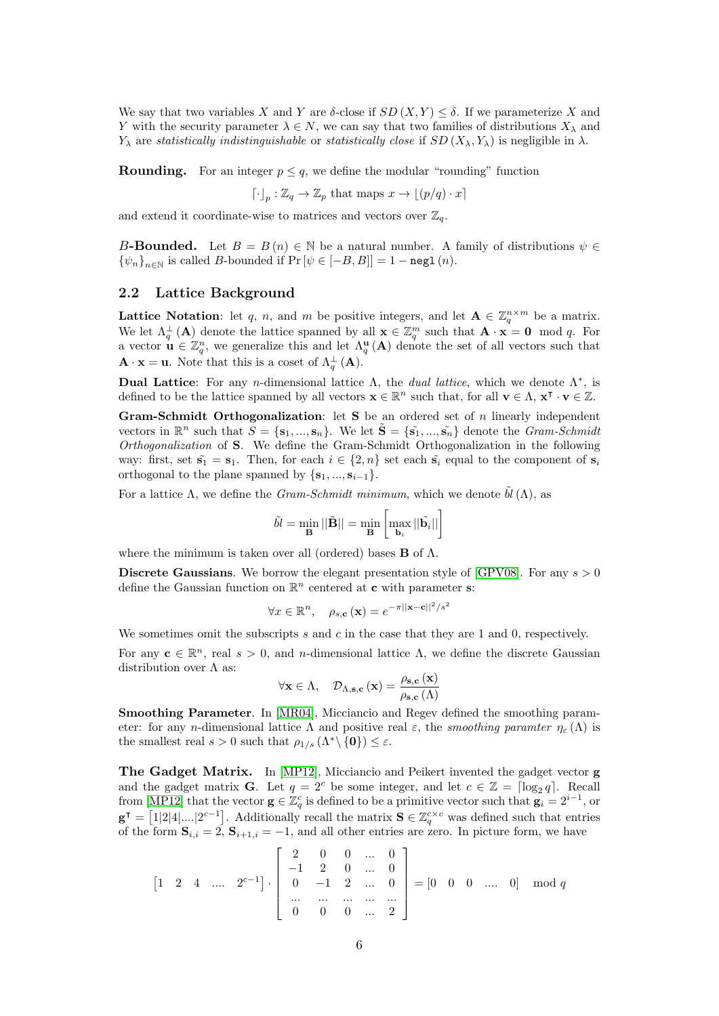We say that two variables X and Y are  $\delta$ -close if  $SD(X, Y) \leq \delta$ . If we parameterize X and Y with the security parameter  $\lambda \in N$ , we can say that two families of distributions  $X_{\lambda}$  and  $Y_{\lambda}$  are statistically indistinguishable or statistically close if  $SD(X_{\lambda}, Y_{\lambda})$  is negligible in  $\lambda$ .

**Rounding.** For an integer  $p \leq q$ , we define the modular "rounding" function

 $\lceil \cdot \rceil_p : \mathbb{Z}_q \to \mathbb{Z}_p$  that maps  $x \to \lfloor (p/q) \cdot x \rceil$ 

and extend it coordinate-wise to matrices and vectors over  $\mathbb{Z}_q$ .

**B-Bounded.** Let  $B = B(n) \in \mathbb{N}$  be a natural number. A family of distributions  $\psi \in$  $\{\psi_n\}_{n\in\mathbb{N}}$  is called *B*-bounded if  $\Pr[\psi \in [-B, B]] = 1 - \text{neg1}(n)$ .

#### 2.2 Lattice Background

**Lattice Notation**: let q, n, and m be positive integers, and let  $A \in \mathbb{Z}_q^{n \times m}$  be a matrix. We let  $\Lambda_q^{\perp}(\mathbf{A})$  denote the lattice spanned by all  $\mathbf{x} \in \mathbb{Z}_q^m$  such that  $\mathbf{A} \cdot \mathbf{x} = \mathbf{0} \mod q$ . For a vector  $\mathbf{u} \in \mathbb{Z}_q^n$ , we generalize this and let  $\Lambda_q^{\mathbf{u}}(\mathbf{A})$  denote the set of all vectors such that  $\mathbf{A} \cdot \mathbf{x} = \mathbf{u}$ . Note that this is a coset of  $\Lambda_q^{\perp}(\mathbf{A})$ .

**Dual Lattice:** For any *n*-dimensional lattice  $\Lambda$ , the *dual lattice*, which we denote  $\Lambda^*$ , is defined to be the lattice spanned by all vectors  $\mathbf{x} \in \mathbb{R}^n$  such that, for all  $\mathbf{v} \in \Lambda$ ,  $\mathbf{x}^\intercal \cdot \mathbf{v} \in \mathbb{Z}$ .

**Gram-Schmidt Orthogonalization:** let **S** be an ordered set of n linearly independent vectors in  $\mathbb{R}^n$  such that  $\tilde{S} = \{\mathbf{s}_1, ..., \mathbf{s}_n\}$ . We let  $\tilde{\mathbf{S}} = \{\tilde{\mathbf{s}_1}, ..., \tilde{\mathbf{s}_n}\}$  denote the *Gram-Schmidt* Orthogonalization of S. We define the Gram-Schmidt Orthogonalization in the following way: first, set  $\tilde{s}_1 = s_1$ . Then, for each  $i \in \{2, n\}$  set each  $\tilde{s}_i$  equal to the component of  $s_i$ orthogonal to the plane spanned by  $\{s_1, ..., s_{i-1}\}.$ 

For a lattice  $\Lambda$ , we define the *Gram-Schmidt minimum*, which we denote  $\tilde{bl}(\Lambda)$ , as

$$
\tilde{bl} = \min_{\mathbf{B}} ||\tilde{\mathbf{B}}|| = \min_{\mathbf{B}} \left[ \max_{\mathbf{b}_i} ||\tilde{\mathbf{b}}_i|| \right]
$$

where the minimum is taken over all (ordered) bases  $\bf{B}$  of  $\Lambda$ .

**Discrete Gaussians**. We borrow the elegant presentation style of [\[GPV08\]](#page-19-10). For any  $s > 0$ define the Gaussian function on  $\mathbb{R}^n$  centered at **c** with parameter **s**:

$$
\forall x \in \mathbb{R}^n, \quad \rho_{s,c}(\mathbf{x}) = e^{-\pi ||\mathbf{x} - \mathbf{c}||^2 / s^2}
$$

We sometimes omit the subscripts  $s$  and  $c$  in the case that they are 1 and 0, respectively.

For any  $\mathbf{c} \in \mathbb{R}^n$ , real  $s > 0$ , and *n*-dimensional lattice  $\Lambda$ , we define the discrete Gaussian distribution over  $\Lambda$  as:

$$
\forall \mathbf{x} \in \Lambda, \quad \mathcal{D}_{\Lambda, \mathbf{s}, \mathbf{c}}(\mathbf{x}) = \frac{\rho_{\mathbf{s}, \mathbf{c}}(\mathbf{x})}{\rho_{\mathbf{s}, \mathbf{c}}(\Lambda)}
$$

Smoothing Parameter. In [\[MR04\]](#page-20-4), Micciancio and Regev defined the smoothing parameter: for any n-dimensional lattice  $\Lambda$  and positive real  $\varepsilon$ , the *smoothing paramter*  $\eta_{\varepsilon}(\Lambda)$  is the smallest real  $s > 0$  such that  $\rho_{1/s}(\Lambda^* \setminus \{0\}) \leq \varepsilon$ .

The Gadget Matrix. In [\[MP12\]](#page-20-5), Micciancio and Peikert invented the gadget vector g and the gadget matrix **G**. Let  $q = 2^c$  be some integer, and let  $c \in \mathbb{Z} = \lceil \log_2 q \rceil$ . Recall from [\[MP12\]](#page-20-5) that the vector  $\mathbf{g} \in \mathbb{Z}_q^c$  is defined to be a primitive vector such that  $\mathbf{g}_i = 2^{i-1}$ , or  $g^{\dagger} = [1|2|4|...|2^{c-1}]$ . Additionally recall the matrix  $S \in \mathbb{Z}_q^{c \times c}$  was defined such that entries of the form  $S_{i,i} = 2$ ,  $S_{i+1,i} = -1$ , and all other entries are zero. In picture form, we have

$$
\begin{bmatrix} 1 & 2 & 4 & \dots & 2^{c-1} \end{bmatrix} \cdot \begin{bmatrix} 2 & 0 & 0 & \dots & 0 \\ -1 & 2 & 0 & \dots & 0 \\ 0 & -1 & 2 & \dots & 0 \\ \dots & \dots & \dots & \dots & \dots \\ 0 & 0 & 0 & \dots & 2 \end{bmatrix} = \begin{bmatrix} 0 & 0 & 0 & \dots & 0 \end{bmatrix} \mod q
$$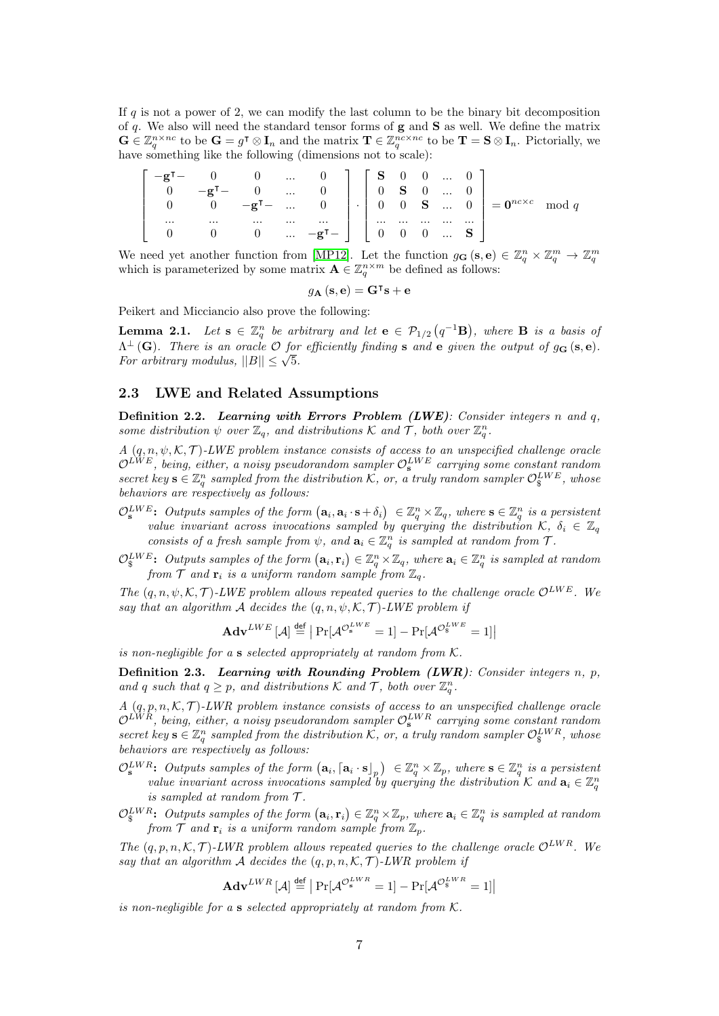If  $q$  is not a power of 2, we can modify the last column to be the binary bit decomposition of q. We also will need the standard tensor forms of  $g$  and  $S$  as well. We define the matrix  $\mathbf{G} \in \mathbb{Z}_q^{n \times nc}$  to be  $\mathbf{G} = g^{\mathsf{T}} \otimes \mathbf{I}_n$  and the matrix  $\mathbf{T} \in \mathbb{Z}_q^{nc \times nc}$  to be  $\mathbf{T} = \mathbf{S} \otimes \mathbf{I}_n$ . Pictorially, we have something like the following (dimensions not to scale):

|  |  |                                                                                                                                                   |  |  |  | $\left[\begin{array}{cccc cccc} -{\bf g}^{\intercal}-&0&0&\dots&0\\ 0&-{\bf g}^{\intercal}-&0&\dots&0\\ 0&0&-{\bf g}^{\intercal}-&\dots&0 \end{array}\right],\, \left[\begin{array}{cccc cccc} {\bf S}&0&0&\dots&0\\ 0&{\bf S}&0&\dots&0\\ 0&0&{\bf S}&\dots&0 \end{array}\right] = {\bf 0}^{nc\times c}\mod q$ |  |
|--|--|---------------------------------------------------------------------------------------------------------------------------------------------------|--|--|--|-----------------------------------------------------------------------------------------------------------------------------------------------------------------------------------------------------------------------------------------------------------------------------------------------------------------|--|
|  |  | $\begin{bmatrix}  &  &  &  &  \\ 0 & 0 & 0 &  & -g^{\mathsf{T}} - \end{bmatrix}$ $\begin{bmatrix}  &  &  &  &  \\ 0 & 0 & 0 &  & S \end{bmatrix}$ |  |  |  |                                                                                                                                                                                                                                                                                                                 |  |

We need yet another function from [\[MP12\]](#page-20-5). Let the function  $g_{\mathbf{G}}(\mathbf{s}, \mathbf{e}) \in \mathbb{Z}_q^n \times \mathbb{Z}_q^m \to \mathbb{Z}_q^m$ which is parameterized by some matrix  $\mathbf{A} \in \mathbb{Z}_q^{n \times m}$  be defined as follows:

$$
g_{\mathbf{A}}\left(\mathbf{s}, \mathbf{e}\right) = \mathbf{G}^{\intercal} \mathbf{s} + \mathbf{e}
$$

Peikert and Micciancio also prove the following:

<span id="page-6-0"></span>**Lemma 2.1.** Let  $s \in \mathbb{Z}_q^n$  be arbitrary and let  $e \in \mathcal{P}_{1/2}(q^{-1}\mathbf{B})$ , where **B** is a basis of  $\Lambda^{\perp}(\mathbf{G})$ . There is an oracle O for efficiently finding s and e given the output of  $g_{\mathbf{G}}(\mathbf{s}, \mathbf{e})$ .  $\Lambda^{\pm}(\mathbf{G})$ . There is an oracle  $\cup$  for<br>For arbitrary modulus,  $||B|| \leq \sqrt{5}$ .

### 2.3 LWE and Related Assumptions

Definition 2.2. Learning with Errors Problem  $(LWE)$ : Consider integers n and q, some distribution  $\psi$  over  $\mathbb{Z}_q$ , and distributions K and T, both over  $\mathbb{Z}_q^n$ .

 $A(q, n, \psi, \mathcal{K}, \mathcal{T})$ -LWE problem instance consists of access to an unspecified challenge oracle  $\mathcal{O}^{LWE}$ , being, either, a noisy pseudorandom sampler  $\mathcal{O}_{s}^{LWE}$  carrying some constant random secret key  $\mathbf{s} \in \mathbb{Z}_q^n$  sampled from the distribution K, or, a truly random sampler  $\mathcal{O}_\S^{LWE}$ , whose behaviors are respectively as follows:

- $\mathcal{O}_{\mathbf{s}}^{LWE}$ : Outputs samples of the form  $(\mathbf{a}_i, \mathbf{a}_i \cdot \mathbf{s} + \delta_i) \in \mathbb{Z}_q^n \times \mathbb{Z}_q$ , where  $\mathbf{s} \in \mathbb{Z}_q^n$  is a persistent value invariant across invocations sampled by querying the distribution  $\mathcal{K}, \delta_i \in \mathbb{Z}_q$ consists of a fresh sample from  $\psi$ , and  $\mathbf{a}_i \in \mathbb{Z}_q^n$  is sampled at random from  $\mathcal{T}$ .
- $\mathcal{O}_\S^{LWE}\colon$  Outputs samples of the form  $(\mathbf{a}_i, \mathbf{r}_i) \in \mathbb{Z}_q^n \times \mathbb{Z}_q$ , where  $\mathbf{a}_i \in \mathbb{Z}_q^n$  is sampled at random from  $\mathcal T$  and  $\mathbf r_i$  is a uniform random sample from  $\mathbb Z_q$ .

The  $(q, n, \psi, \mathcal{K}, \mathcal{T})$ -LWE problem allows repeated queries to the challenge oracle  $\mathcal{O}^{LWE}$ . We say that an algorithm A decides the  $(q, n, \psi, \mathcal{K}, \mathcal{T})$ -LWE problem if

$$
\mathbf{Adv}^{LWE}\left[\mathcal{A}\right]\overset{\text{def}}{=}\left|\Pr[\mathcal{A}^{\mathcal{O}_{\mathbf{s}}^{LWE}}=1]-\Pr[\mathcal{A}^{\mathcal{O}_{\mathbf{s}}^{LWE}}=1]\right|
$$

is non-negligible for a s selected appropriately at random from K.

Definition 2.3. Learning with Rounding Problem (LWR): Consider integers n, p, and q such that  $q \geq p$ , and distributions K and T, both over  $\mathbb{Z}_q^n$ .

 $A(q, p, n, \mathcal{K}, \mathcal{T})$ -LWR problem instance consists of access to an unspecified challenge oracle  $\mathcal{O}^{LWR}$ , being, either, a noisy pseudorandom sampler  $\mathcal{O}^{LWR}_{\bf s}$  carrying some constant random secret key  $\mathbf{s} \in \mathbb{Z}_q^n$  sampled from the distribution K, or, a truly random sampler  $\mathcal{O}_\S^{LWR}$ , whose behaviors are respectively as follows:

- $\mathcal{O}_{\mathbf{s}}^{LWR}\colon$  Outputs samples of the form  $(\mathbf{a}_i, [\mathbf{a}_i \cdot \mathbf{s}]_p) \in \mathbb{Z}_q^n \times \mathbb{Z}_p$ , where  $\mathbf{s} \in \mathbb{Z}_q^n$  is a persistent value invariant across invocations sampled by querying the distribution K and  $a_i \in \mathbb{Z}_q^n$ is sampled at random from T .
- $\mathcal{O}_\S^{LWR}\colon$  Outputs samples of the form  $(\mathbf{a}_i,\mathbf{r}_i) \in \mathbb{Z}_q^n\times \mathbb{Z}_p$ , where  $\mathbf{a}_i \in \mathbb{Z}_q^n$  is sampled at random from  $\mathcal T$  and  $\mathbf r_i$  is a uniform random sample from  $\mathbb Z_p$ .

The  $(q, p, n, \mathcal{K}, \mathcal{T})$ -LWR problem allows repeated queries to the challenge oracle  $\mathcal{O}^{LWR}$ . We say that an algorithm A decides the  $(q, p, n, \mathcal{K}, \mathcal{T})$ -LWR problem if

$$
\mathbf{Adv}^{LWR}\left[\mathcal{A}\right]\overset{\text{def}}{=}\left|\Pr[\mathcal{A}^{\mathcal{O}^{LWR}}=1]-\Pr[\mathcal{A}^{\mathcal{O}^{LWR}}=1]\right|
$$

is non-negligible for a s selected appropriately at random from  $K$ .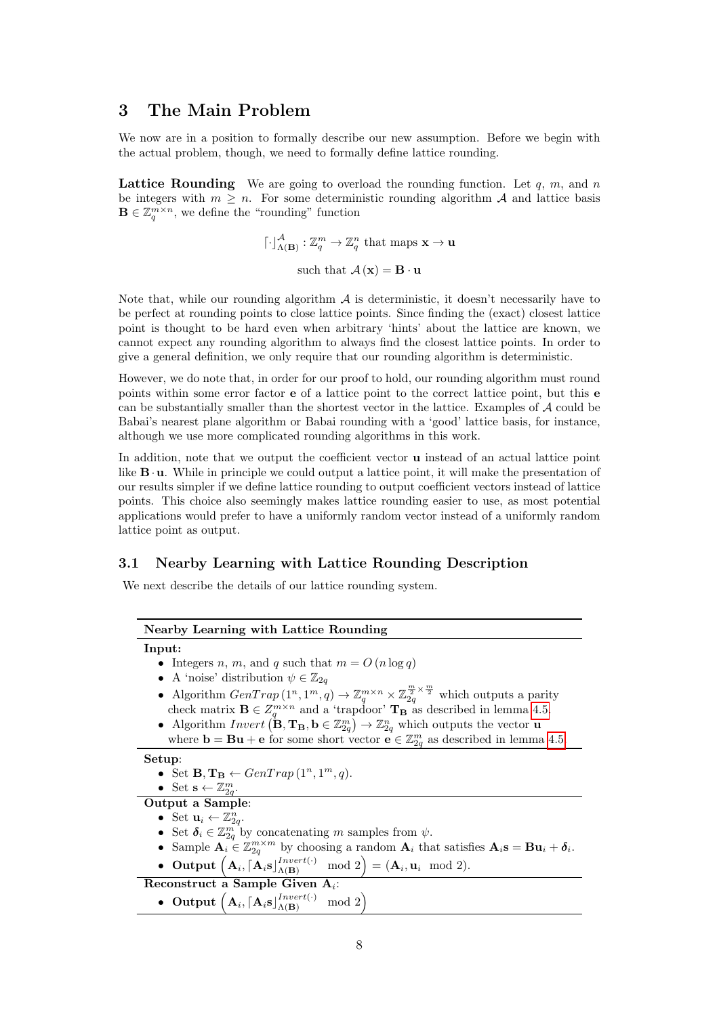## 3 The Main Problem

We now are in a position to formally describe our new assumption. Before we begin with the actual problem, though, we need to formally define lattice rounding.

**Lattice Rounding** We are going to overload the rounding function. Let  $q$ ,  $m$ , and  $n$ be integers with  $m \geq n$ . For some deterministic rounding algorithm A and lattice basis  $\mathbf{B} \in \mathbb{Z}_q^{m \times n}$ , we define the "rounding" function

> $\lceil \cdot \rceil_{\Lambda(\mathbf{B})}^{\mathcal{A}} : \mathbb{Z}_q^m \to \mathbb{Z}_q^n$  that maps  $\mathbf{x} \to \mathbf{u}$ such that  $\mathcal{A}(\mathbf{x}) = \mathbf{B} \cdot \mathbf{u}$

Note that, while our rounding algorithm  $A$  is deterministic, it doesn't necessarily have to be perfect at rounding points to close lattice points. Since finding the (exact) closest lattice point is thought to be hard even when arbitrary 'hints' about the lattice are known, we cannot expect any rounding algorithm to always find the closest lattice points. In order to give a general definition, we only require that our rounding algorithm is deterministic.

However, we do note that, in order for our proof to hold, our rounding algorithm must round points within some error factor e of a lattice point to the correct lattice point, but this e can be substantially smaller than the shortest vector in the lattice. Examples of  $A$  could be Babai's nearest plane algorithm or Babai rounding with a 'good' lattice basis, for instance, although we use more complicated rounding algorithms in this work.

In addition, note that we output the coefficient vector u instead of an actual lattice point like  $\mathbf{B} \cdot \mathbf{u}$ . While in principle we could output a lattice point, it will make the presentation of our results simpler if we define lattice rounding to output coefficient vectors instead of lattice points. This choice also seemingly makes lattice rounding easier to use, as most potential applications would prefer to have a uniformly random vector instead of a uniformly random lattice point as output.

### <span id="page-7-0"></span>3.1 Nearby Learning with Lattice Rounding Description

We next describe the details of our lattice rounding system.

| Nearby Learning with Lattice Rounding                                                                                                                                                     |
|-------------------------------------------------------------------------------------------------------------------------------------------------------------------------------------------|
| Input:                                                                                                                                                                                    |
| • Integers n, m, and q such that $m = O(n \log q)$                                                                                                                                        |
| • A 'noise' distribution $\psi \in \mathbb{Z}_{2q}$                                                                                                                                       |
| • Algorithm $GenTrap(1^n, 1^m, q) \to \mathbb{Z}_q^{m \times n} \times \mathbb{Z}_{2q}^{\frac{m}{2} \times \frac{m}{2}}$ which outputs a parity                                           |
| check matrix $\mathbf{B} \in Z_q^{m \times n}$ and a 'trapdoor' $\mathbf{T}_\mathbf{B}$ as described in lemma 4.5.                                                                        |
| • Algorithm Invert $(\mathbf{B}, \mathbf{T_B}, \mathbf{b} \in \mathbb{Z}_{2q}^m) \to \mathbb{Z}_{2q}^n$ which outputs the vector <b>u</b>                                                 |
| where $\mathbf{b} = \mathbf{B}\mathbf{u} + \mathbf{e}$ for some short vector $\mathbf{e} \in \mathbb{Z}_{2q}^m$ as described in lemma 4.5.                                                |
| Setup:                                                                                                                                                                                    |
| • Set $\mathbf{B}, \mathbf{T_B} \leftarrow GenTrap(1^n, 1^m, q).$                                                                                                                         |
| • Set $\mathbf{s} \leftarrow \mathbb{Z}_{2a}^m$ .                                                                                                                                         |
| Output a Sample:                                                                                                                                                                          |
| • Set $\mathbf{u}_i \leftarrow \mathbb{Z}_{2a}^n$ .                                                                                                                                       |
| • Set $\delta_i \in \mathbb{Z}_{2q}^m$ by concatenating m samples from $\psi$ .                                                                                                           |
| • Sample $\mathbf{A}_i \in \mathbb{Z}_{2g}^{m \times m}$ by choosing a random $\mathbf{A}_i$ that satisfies $\mathbf{A}_i \mathbf{s} = \mathbf{B} \mathbf{u}_i + \boldsymbol{\delta}_i$ . |
| • Output $\left(\mathbf{A}_i, [\mathbf{A}_i \mathbf{s}]_{\Lambda(\mathbf{B})}^{Invert(\cdot)} \mod 2\right) = (\mathbf{A}_i, \mathbf{u}_i \mod 2).$                                       |
| Reconstruct a Sample Given $A_i$ :                                                                                                                                                        |
| • Output $\left(\mathbf{A}_i, \left[\mathbf{A}_i\mathbf{s}\right]_{\Lambda(\mathbf{B})}^{Invert(\cdot)} \mod 2\right)$                                                                    |
|                                                                                                                                                                                           |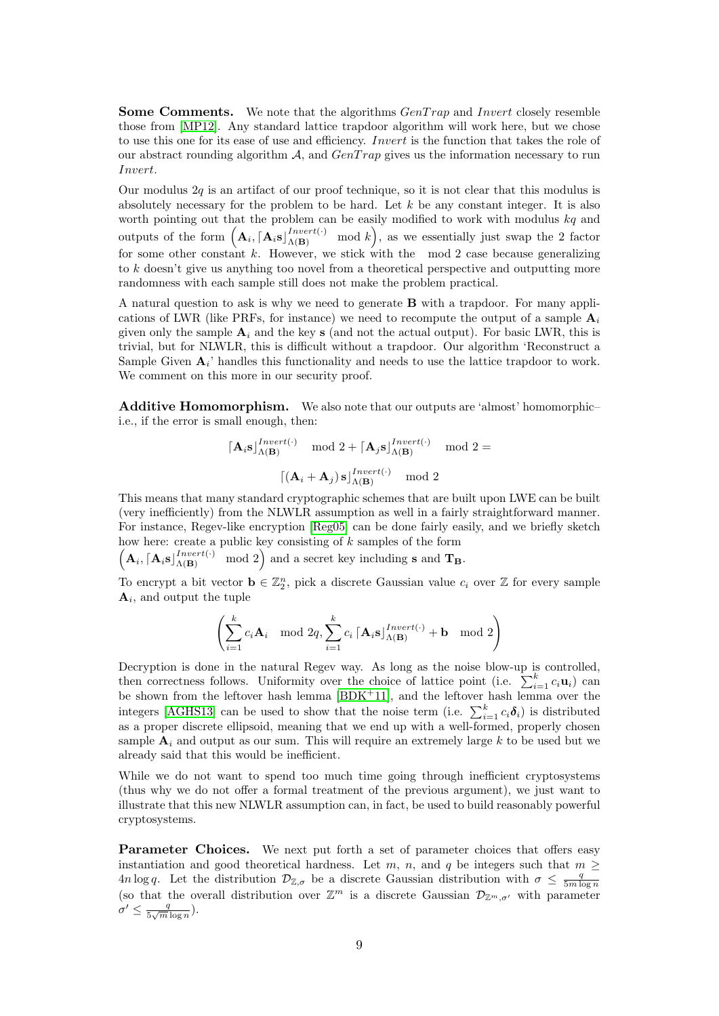Some Comments. We note that the algorithms  $GenTrap$  and Invert closely resemble those from [\[MP12\]](#page-20-5). Any standard lattice trapdoor algorithm will work here, but we chose to use this one for its ease of use and efficiency. Invert is the function that takes the role of our abstract rounding algorithm  $A$ , and  $GenTrap$  gives us the information necessary to run Invert.

Our modulus 2q is an artifact of our proof technique, so it is not clear that this modulus is absolutely necessary for the problem to be hard. Let  $k$  be any constant integer. It is also worth pointing out that the problem can be easily modified to work with modulus  $kq$  and outputs of the form  $\left(\mathbf{A}_i, \begin{bmatrix} \mathbf{A}_i \mathbf{s} \end{bmatrix}_{\Lambda(\mathbf{B})}^{Invert(\cdot)} \mod k \right)$ , as we essentially just swap the 2 factor for some other constant  $k$ . However, we stick with the mod 2 case because generalizing to k doesn't give us anything too novel from a theoretical perspective and outputting more randomness with each sample still does not make the problem practical.

A natural question to ask is why we need to generate B with a trapdoor. For many applications of LWR (like PRFs, for instance) we need to recompute the output of a sample  $A_i$ given only the sample  $A_i$  and the key s (and not the actual output). For basic LWR, this is trivial, but for NLWLR, this is difficult without a trapdoor. Our algorithm 'Reconstruct a Sample Given  $A_i$ ' handles this functionality and needs to use the lattice trapdoor to work. We comment on this more in our security proof.

Additive Homomorphism. We also note that our outputs are 'almost' homomorphic– i.e., if the error is small enough, then:

$$
\begin{aligned}\n\left[\mathbf{A}_{i}\mathbf{s}\right]_{\Lambda(\mathbf{B})}^{Invert(\cdot)} \mod 2 + \left[\mathbf{A}_{j}\mathbf{s}\right]_{\Lambda(\mathbf{B})}^{Invert(\cdot)} \mod 2 = \\
& \left[\left(\mathbf{A}_{i} + \mathbf{A}_{j}\right)\mathbf{s}\right]_{\Lambda(\mathbf{B})}^{Invert(\cdot)} \mod 2\n\end{aligned}
$$

This means that many standard cryptographic schemes that are built upon LWE can be built (very inefficiently) from the NLWLR assumption as well in a fairly straightforward manner. For instance, Regev-like encryption [\[Reg05\]](#page-20-0) can be done fairly easily, and we briefly sketch how here: create a public key consisting of k samples of the form

 $\left(\mathbf{A}_i, \lceil \mathbf{A}_i \mathbf{s} \rceil_{\Lambda(\mathbf{B})}^{Invert(\cdot)} \mod 2\right)$  and a secret key including s and  $\mathbf{T}_{\mathbf{B}}$ .

To encrypt a bit vector  $\mathbf{b} \in \mathbb{Z}_2^n$ , pick a discrete Gaussian value  $c_i$  over  $\mathbb Z$  for every sample  $\mathbf{A}_i$ , and output the tuple

$$
\left(\sum_{i=1}^{k} c_i \mathbf{A}_i \mod 2q, \sum_{i=1}^{k} c_i \left[\mathbf{A}_i \mathbf{s}\right]_{\Lambda(\mathbf{B})}^{Invert(\cdot)} + \mathbf{b} \mod 2\right)
$$

Decryption is done in the natural Regev way. As long as the noise blow-up is controlled, then correctness follows. Uniformity over the choice of lattice point (i.e.  $\sum_{i=1}^{k} c_i \mathbf{u}_i$ ) can be shown from the leftover hash lemma  $[BDK+11]$  $[BDK+11]$ , and the leftover hash lemma over the integers [\[AGHS13\]](#page-18-8) can be used to show that the noise term (i.e.  $\sum_{i=1}^{k} c_i \delta_i$ ) is distributed as a proper discrete ellipsoid, meaning that we end up with a well-formed, properly chosen sample  $A_i$  and output as our sum. This will require an extremely large k to be used but we already said that this would be inefficient.

While we do not want to spend too much time going through inefficient cryptosystems (thus why we do not offer a formal treatment of the previous argument), we just want to illustrate that this new NLWLR assumption can, in fact, be used to build reasonably powerful cryptosystems.

Parameter Choices. We next put forth a set of parameter choices that offers easy instantiation and good theoretical hardness. Let m, n, and q be integers such that  $m \geq$  $4n \log q$ . Let the distribution  $\mathcal{D}_{\mathbb{Z},\sigma}$  be a discrete Gaussian distribution with  $\sigma \leq \frac{q}{5m \log n}$ (so that the overall distribution over  $\mathbb{Z}^m$  is a discrete Gaussian  $\mathcal{D}_{\mathbb{Z}^m,\sigma'}$  with parameter  $\sigma' \leq \frac{q}{5\sqrt{m}}$  $rac{q}{5\sqrt{m}\log n}$ ).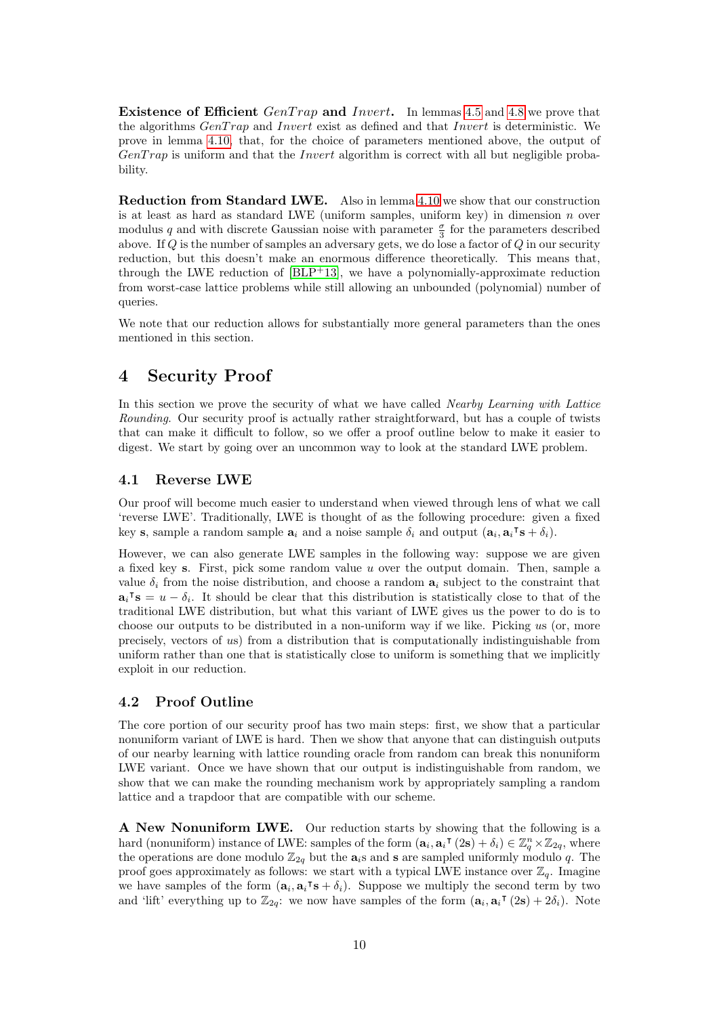**Existence of Efficient** GenTrap and Invert. In lemmas [4.5](#page-14-0) and [4.8](#page-16-0) we prove that the algorithms  $GenTrap$  and Invert exist as defined and that Invert is deterministic. We prove in lemma [4.10,](#page-16-1) that, for the choice of parameters mentioned above, the output of  $GenTrap$  is uniform and that the *Invert* algorithm is correct with all but negligible probability.

Reduction from Standard LWE. Also in lemma [4.10](#page-16-1) we show that our construction is at least as hard as standard LWE (uniform samples, uniform key) in dimension  $n$  over modulus q and with discrete Gaussian noise with parameter  $\frac{\sigma}{3}$  for the parameters described above. If Q is the number of samples an adversary gets, we do lose a factor of Q in our security reduction, but this doesn't make an enormous difference theoretically. This means that, through the LWE reduction of  $[BLP+13]$  $[BLP+13]$ , we have a polynomially-approximate reduction from worst-case lattice problems while still allowing an unbounded (polynomial) number of queries.

We note that our reduction allows for substantially more general parameters than the ones mentioned in this section.

# 4 Security Proof

In this section we prove the security of what we have called *Nearby Learning with Lattice* Rounding. Our security proof is actually rather straightforward, but has a couple of twists that can make it difficult to follow, so we offer a proof outline below to make it easier to digest. We start by going over an uncommon way to look at the standard LWE problem.

### 4.1 Reverse LWE

Our proof will become much easier to understand when viewed through lens of what we call 'reverse LWE'. Traditionally, LWE is thought of as the following procedure: given a fixed key s, sample a random sample  $a_i$  and a noise sample  $\delta_i$  and output  $(a_i, a_i^T s + \delta_i)$ .

However, we can also generate LWE samples in the following way: suppose we are given a fixed key s. First, pick some random value u over the output domain. Then, sample a value  $\delta_i$  from the noise distribution, and choose a random  $a_i$  subject to the constraint that  $a_i^{\dagger}$   $\mathbf{s} = u - \delta_i$ . It should be clear that this distribution is statistically close to that of the traditional LWE distribution, but what this variant of LWE gives us the power to do is to choose our outputs to be distributed in a non-uniform way if we like. Picking us (or, more precisely, vectors of us) from a distribution that is computationally indistinguishable from uniform rather than one that is statistically close to uniform is something that we implicitly exploit in our reduction.

### 4.2 Proof Outline

The core portion of our security proof has two main steps: first, we show that a particular nonuniform variant of LWE is hard. Then we show that anyone that can distinguish outputs of our nearby learning with lattice rounding oracle from random can break this nonuniform LWE variant. Once we have shown that our output is indistinguishable from random, we show that we can make the rounding mechanism work by appropriately sampling a random lattice and a trapdoor that are compatible with our scheme.

A New Nonuniform LWE. Our reduction starts by showing that the following is a hard (nonuniform) instance of LWE: samples of the form  $(\mathbf{a}_i, \mathbf{a}_i \cdot (\mathbf{2s}) + \delta_i) \in \mathbb{Z}_q^n \times \mathbb{Z}_{2q}$ , where the operations are done modulo  $\mathbb{Z}_{2q}$  but the  $a_i$ s and s are sampled uniformly modulo q. The proof goes approximately as follows: we start with a typical LWE instance over  $\mathbb{Z}_q$ . Imagine we have samples of the form  $(a_i, a_i^T s + \delta_i)$ . Suppose we multiply the second term by two and 'lift' everything up to  $\mathbb{Z}_{2q}$ : we now have samples of the form  $(\mathbf{a}_i, \mathbf{a}_i \cdot (\mathbf{2s}) + 2\delta_i)$ . Note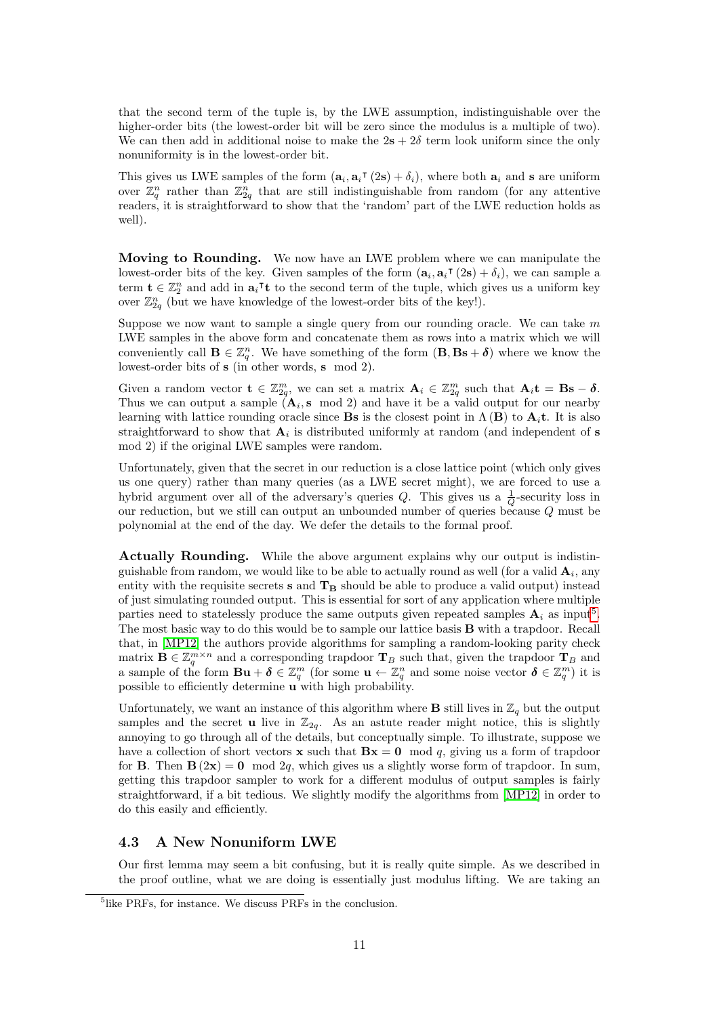that the second term of the tuple is, by the LWE assumption, indistinguishable over the higher-order bits (the lowest-order bit will be zero since the modulus is a multiple of two). We can then add in additional noise to make the  $2s + 2\delta$  term look uniform since the only nonuniformity is in the lowest-order bit.

This gives us LWE samples of the form  $(\mathbf{a}_i, \mathbf{a}_i^\top (2\mathbf{s}) + \delta_i)$ , where both  $\mathbf{a}_i$  and s are uniform over  $\mathbb{Z}_q^n$  rather than  $\mathbb{Z}_{2q}^n$  that are still indistinguishable from random (for any attentive readers, it is straightforward to show that the 'random' part of the LWE reduction holds as well).

Moving to Rounding. We now have an LWE problem where we can manipulate the lowest-order bits of the key. Given samples of the form  $(\mathbf{a}_i, \mathbf{a}_i \cdot (\mathbf{2s}) + \delta_i)$ , we can sample a term  $\mathbf{t} \in \mathbb{Z}_2^n$  and add in  $\mathbf{a}_i$ <sup>T</sup>t to the second term of the tuple, which gives us a uniform key over  $\mathbb{Z}_{2q}^n$  (but we have knowledge of the lowest-order bits of the key!).

Suppose we now want to sample a single query from our rounding oracle. We can take  $m$ LWE samples in the above form and concatenate them as rows into a matrix which we will conveniently call  $\mathbf{B} \in \mathbb{Z}_q^n$ . We have something of the form  $(\mathbf{B}, \mathbf{Bs} + \boldsymbol{\delta})$  where we know the lowest-order bits of s (in other words, s mod 2).

Given a random vector  $\mathbf{t} \in \mathbb{Z}_{2q}^m$ , we can set a matrix  $\mathbf{A}_i \in \mathbb{Z}_{2q}^m$  such that  $\mathbf{A}_i \mathbf{t} = \mathbf{B}\mathbf{s} - \boldsymbol{\delta}$ . Thus we can output a sample  $(A_i, s \mod 2)$  and have it be a valid output for our nearby learning with lattice rounding oracle since **Bs** is the closest point in  $\Lambda(\mathbf{B})$  to  $\mathbf{A}_i\mathbf{t}$ . It is also straightforward to show that  $A_i$  is distributed uniformly at random (and independent of s mod 2) if the original LWE samples were random.

Unfortunately, given that the secret in our reduction is a close lattice point (which only gives us one query) rather than many queries (as a LWE secret might), we are forced to use a hybrid argument over all of the adversary's queries Q. This gives us a  $\frac{1}{Q}$ -security loss in our reduction, but we still can output an unbounded number of queries because Q must be polynomial at the end of the day. We defer the details to the formal proof.

Actually Rounding. While the above argument explains why our output is indistinguishable from random, we would like to be able to actually round as well (for a valid  $\mathbf{A}_i$ , any entity with the requisite secrets  $s$  and  $T_B$  should be able to produce a valid output) instead of just simulating rounded output. This is essential for sort of any application where multiple parties need to statelessly produce the same outputs given repeated samples  $A_i$  as input<sup>[5](#page-10-0)</sup>. The most basic way to do this would be to sample our lattice basis B with a trapdoor. Recall that, in [\[MP12\]](#page-20-5) the authors provide algorithms for sampling a random-looking parity check matrix  $\mathbf{B} \in \mathbb{Z}_q^{m \times n}$  and a corresponding trapdoor  $\mathbf{T}_B$  such that, given the trapdoor  $\mathbf{T}_B$  and a sample of the form  $\mathbf{B}\mathbf{u}+\boldsymbol{\delta}\in\mathbb{Z}_q^m$  (for some  $\mathbf{u}\leftarrow\mathbb{Z}_q^n$  and some noise vector  $\boldsymbol{\delta}\in\mathbb{Z}_q^m$ ) it is possible to efficiently determine u with high probability.

Unfortunately, we want an instance of this algorithm where **B** still lives in  $\mathbb{Z}_q$  but the output samples and the secret **u** live in  $\mathbb{Z}_{2q}$ . As an astute reader might notice, this is slightly annoying to go through all of the details, but conceptually simple. To illustrate, suppose we have a collection of short vectors **x** such that  $Bx = 0 \mod q$ , giving us a form of trapdoor for **B**. Then  $\mathbf{B}(2\mathbf{x}) = \mathbf{0} \mod 2q$ , which gives us a slightly worse form of trapdoor. In sum, getting this trapdoor sampler to work for a different modulus of output samples is fairly straightforward, if a bit tedious. We slightly modify the algorithms from [\[MP12\]](#page-20-5) in order to do this easily and efficiently.

### 4.3 A New Nonuniform LWE

Our first lemma may seem a bit confusing, but it is really quite simple. As we described in the proof outline, what we are doing is essentially just modulus lifting. We are taking an

<span id="page-10-0"></span><sup>&</sup>lt;sup>5</sup>like PRFs, for instance. We discuss PRFs in the conclusion.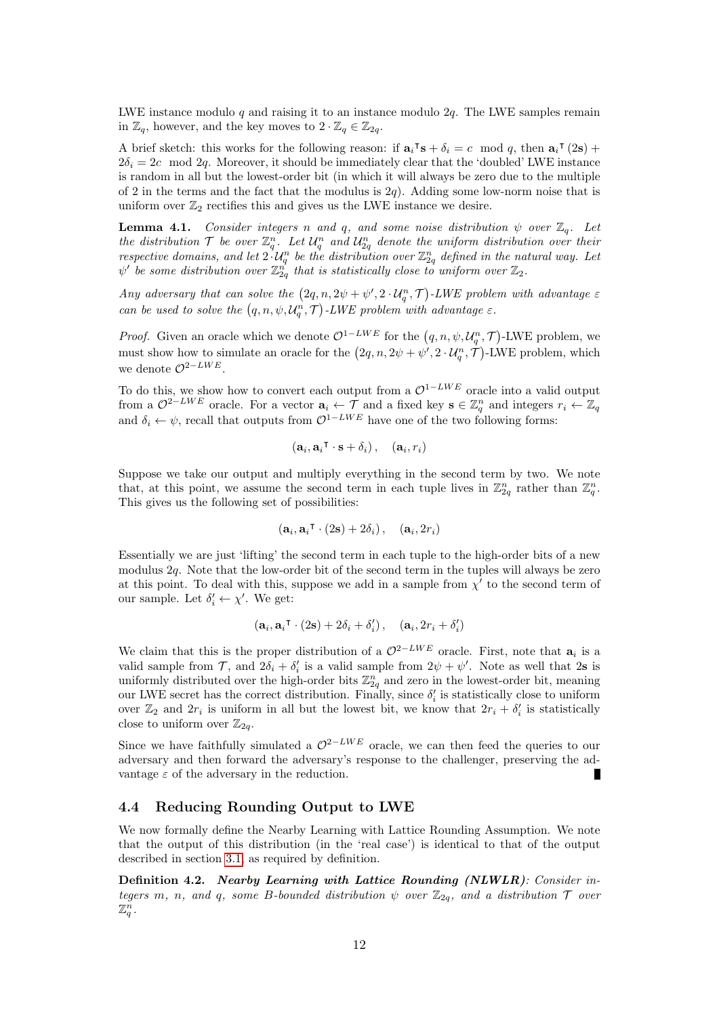LWE instance modulo  $q$  and raising it to an instance modulo  $2q$ . The LWE samples remain in  $\mathbb{Z}_q$ , however, and the key moves to  $2 \cdot \mathbb{Z}_q \in \mathbb{Z}_{2q}$ .

A brief sketch: this works for the following reason: if  $\mathbf{a}_i^T \mathbf{s} + \delta_i = c \mod q$ , then  $\mathbf{a}_i^T (2\mathbf{s})$  +  $2\delta_i = 2c \mod 2q$ . Moreover, it should be immediately clear that the 'doubled' LWE instance is random in all but the lowest-order bit (in which it will always be zero due to the multiple of 2 in the terms and the fact that the modulus is  $2q$ ). Adding some low-norm noise that is uniform over  $\mathbb{Z}_2$  rectifies this and gives us the LWE instance we desire.

<span id="page-11-0"></span>**Lemma 4.1.** Consider integers n and q, and some noise distribution  $\psi$  over  $\mathbb{Z}_q$ . Let the distribution  $\mathcal T$  be over  $\mathbb{Z}_q^n$ . Let  $\mathcal{U}_q^n$  and  $\mathcal{U}_{2q}^n$  denote the uniform distribution over their respective domains, and let  $2^3 U_q^n$  be the distribution over  $\mathbb{Z}_{2q}^n$  defined in the natural way. Let  $\psi'$  be some distribution over  $\mathbb{Z}_{2q}^{n'}$  that is statistically close to uniform over  $\mathbb{Z}_2$ .

Any adversary that can solve the  $(2q, n, 2\psi + \psi', 2 \cdot \mathcal{U}_q^n, \mathcal{T})$ -LWE problem with advantage  $\varepsilon$ can be used to solve the  $(q, n, \psi, \mathcal{U}_q^n, \mathcal{T})$ -LWE problem with advantage  $\varepsilon$ .

*Proof.* Given an oracle which we denote  $\mathcal{O}^{1-LWE}$  for the  $(q, n, \psi, \mathcal{U}_q^n, \mathcal{T})$ -LWE problem, we must show how to simulate an oracle for the  $(2q, n, 2\psi + \psi', 2 \cdot U_q^n, \mathcal{T})$ -LWE problem, which we denote  $\mathcal{O}^{2-LWE}$ .

To do this, we show how to convert each output from a  $\mathcal{O}^{1-LWE}$  oracle into a valid output from a  $\mathcal{O}^{2-LWE}$  oracle. For a vector  $\mathbf{a}_i \leftarrow \mathcal{T}$  and a fixed key  $\mathbf{s} \in \mathbb{Z}_q^n$  and integers  $r_i \leftarrow \mathbb{Z}_q$ and  $\delta_i \leftarrow \psi$ , recall that outputs from  $\mathcal{O}^{1-LWE}$  have one of the two following forms:

$$
(\mathbf{a}_i, \mathbf{a}_i^{\mathsf{T}} \cdot \mathbf{s} + \delta_i), \quad (\mathbf{a}_i, r_i)
$$

Suppose we take our output and multiply everything in the second term by two. We note that, at this point, we assume the second term in each tuple lives in  $\mathbb{Z}_{2q}^n$  rather than  $\mathbb{Z}_q^n$ . This gives us the following set of possibilities:

$$
(\mathbf{a}_i, \mathbf{a}_i^\mathsf{T} \cdot (2\mathbf{s}) + 2\delta_i), \quad (\mathbf{a}_i, 2r_i)
$$

Essentially we are just 'lifting' the second term in each tuple to the high-order bits of a new modulus  $2q$ . Note that the low-order bit of the second term in the tuples will always be zero at this point. To deal with this, suppose we add in a sample from  $\chi'$  to the second term of our sample. Let  $\delta_i' \leftarrow \chi'$ . We get:

$$
(\mathbf{a}_i, \mathbf{a}_i \mathbf{a}^{\mathsf{T}} \cdot (2\mathbf{s}) + 2\delta_i + \delta_i'), \quad (\mathbf{a}_i, 2r_i + \delta_i')
$$

We claim that this is the proper distribution of a  $\mathcal{O}^{2-LWE}$  oracle. First, note that  $a_i$  is a valid sample from  $\mathcal{T}$ , and  $2\delta_i + \delta'_i$  is a valid sample from  $2\psi + \psi'$ . Note as well that 2s is uniformly distributed over the high-order bits  $\mathbb{Z}_{2q}^n$  and zero in the lowest-order bit, meaning our LWE secret has the correct distribution. Finally, since  $\delta_i'$  is statistically close to uniform over  $\mathbb{Z}_2$  and  $2r_i$  is uniform in all but the lowest bit, we know that  $2r_i + \delta'_i$  is statistically close to uniform over  $\mathbb{Z}_{2q}$ .

Since we have faithfully simulated a  $\mathcal{O}^{2-LWE}$  oracle, we can then feed the queries to our adversary and then forward the adversary's response to the challenger, preserving the advantage  $\varepsilon$  of the adversary in the reduction. Г

### 4.4 Reducing Rounding Output to LWE

We now formally define the Nearby Learning with Lattice Rounding Assumption. We note that the output of this distribution (in the 'real case') is identical to that of the output described in section [3.1,](#page-7-0) as required by definition.

Definition 4.2. Nearby Learning with Lattice Rounding (NLWLR): Consider integers m, n, and q, some B-bounded distribution  $\psi$  over  $\mathbb{Z}_{2q}$ , and a distribution  $\mathcal T$  over  $\mathbb{Z}_q^n$  .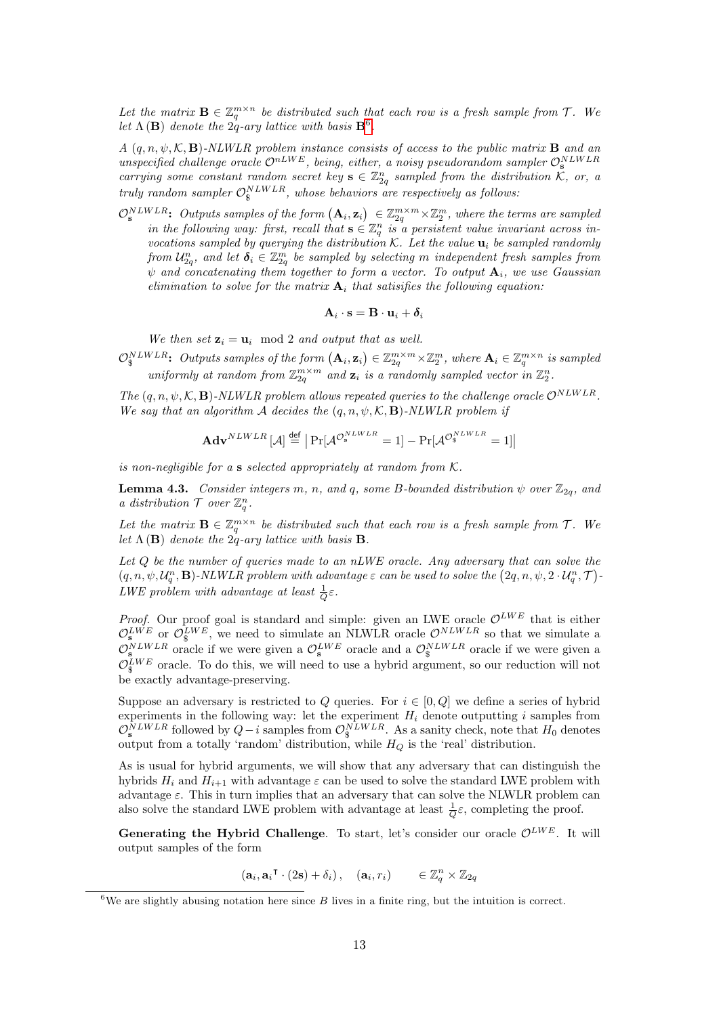Let the matrix  $\mathbf{B} \in \mathbb{Z}_q^{m \times n}$  be distributed such that each row is a fresh sample from T. We let  $\Lambda$  (B) denote the  $2\dot{q}$ -ary lattice with basis  $\mathbf{B}^6$  $\mathbf{B}^6$ .

A  $(q, n, \psi, \mathcal{K}, \mathbf{B})$ -NLWLR problem instance consists of access to the public matrix **B** and an unspecified challenge oracle  $\mathcal{O}^{nLWE}$ , being, either, a noisy pseudorandom sampler  $\mathcal{O}_{s}^{NLWLR}$ carrying some constant random secret key  $s \in \mathbb{Z}_{2q}^n$  sampled from the distribution  $\overline{\mathcal{K}}$ , or, a truly random sampler  $\mathcal{O}_{\S}^{NLWLR}$ , whose behaviors are respectively as follows:

 $\mathcal{O}_\mathbf{s}^{NLWLR}$ : Outputs samples of the form  $(\mathbf{A}_i, \mathbf{z}_i) \ \in \mathbb{Z}_{2q}^{m \times m} \times \mathbb{Z}_2^m$ , where the terms are sampled in the following way: first, recall that  $s \in \mathbb{Z}_q^n$  is a persistent value invariant across invocations sampled by querying the distribution  $K$ . Let the value  $\mathbf{u}_i$  be sampled randomly from  $\mathcal{U}_{2q}^n$ , and let  $\boldsymbol{\delta}_i \in \mathbb{Z}_{2q}^m$  be sampled by selecting m independent fresh samples from  $\psi$  and concatenating them together to form a vector. To output  $A_i$ , we use Gaussian elimination to solve for the matrix  $A_i$  that satisifies the following equation:

$$
\mathbf{A}_i \cdot \mathbf{s} = \mathbf{B} \cdot \mathbf{u}_i + \boldsymbol{\delta}_i
$$

We then set  $\mathbf{z}_i = \mathbf{u}_i \mod 2$  and output that as well.

 $\mathcal{O}_\$^{NLWLR}\colon$  Outputs samples of the form  $\left(\mathbf{A}_i,\mathbf{z}_i\right)\in \mathbb{Z}_{2q}^{m\times m}\times \mathbb{Z}_2^m$ , where  $\mathbf{A}_i\in \mathbb{Z}_q^{m\times n}$  is sampled uniformly at random from  $\mathbb{Z}_{2q}^{m \times m}$  and  $\mathbf{z}_i$  is a randomly sampled vector in  $\mathbb{Z}_2^n$ .

The  $(q, n, \psi, \mathcal{K}, \mathbf{B})$ -NLWLR problem allows repeated queries to the challenge oracle  $\mathcal{O}^{NLWLR}$ . We say that an algorithm A decides the  $(q, n, \psi, \mathcal{K}, \mathbf{B})$ -NLWLR problem if

$$
\mathbf{Adv}^{NLWLR}\left[\mathcal{A}\right]\overset{\text{def}}{=}\left|\Pr[\mathcal{A}^{\mathcal{O}^{NLWLR}}=1]-\Pr[\mathcal{A}^{\mathcal{O}^{NLWLR}}=1]\right|
$$

is non-negligible for a s selected appropriately at random from  $K$ .

<span id="page-12-1"></span>**Lemma 4.3.** Consider integers m, n, and q, some B-bounded distribution  $\psi$  over  $\mathbb{Z}_{2q}$ , and a distribution  $\mathcal T$  over  $\mathbb Z_q^n$ .

Let the matrix  $\mathbf{B} \in \mathbb{Z}_q^{m \times n}$  be distributed such that each row is a fresh sample from T. We let  $\Lambda$  (B) denote the 2q-ary lattice with basis **B**.

Let Q be the number of queries made to an nLWE oracle. Any adversary that can solve the  $(q, n, \psi, \mathcal{U}_q^n, \mathbf{B})$ -NLWLR problem with advantage  $\varepsilon$  can be used to solve the  $(2q, n, \psi, 2 \cdot \mathcal{U}_q^n, \mathcal{T})$ -LWE problem with advantage at least  $\frac{1}{Q} \varepsilon$ .

*Proof.* Our proof goal is standard and simple: given an LWE oracle  $\mathcal{O}^{LWE}$  that is either  $\mathcal{O}_s^{LWE}$  or  $\mathcal{O}_s^{LWE}$ , we need to simulate an NLWLR oracle  $\mathcal{O}^{NLWLR}$  so that we simulate a  $\mathcal{O}_s^{NLWLR}$  oracle if we were given a  $\mathcal{O}_s^{LWE}$  oracle and a  $\mathcal{O}_s^{NLWLR}$  oracle if we were given a  $\mathcal{O}_\S^{LWE}$  oracle. To do this, we will need to use a hybrid argument, so our reduction will not be exactly advantage-preserving.

Suppose an adversary is restricted to Q queries. For  $i \in [0, Q]$  we define a series of hybrid experiments in the following way: let the experiment  $H_i$  denote outputting i samples from  $\mathcal{O}_s^{NLWLR}$  followed by  $Q-i$  samples from  $\mathcal{O}_s^{NLWLR}$ . As a sanity check, note that  $H_0$  denotes output from a totally 'random' distribution, while  $H_Q$  is the 'real' distribution.

As is usual for hybrid arguments, we will show that any adversary that can distinguish the hybrids  $H_i$  and  $H_{i+1}$  with advantage  $\varepsilon$  can be used to solve the standard LWE problem with advantage  $\varepsilon$ . This in turn implies that an adversary that can solve the NLWLR problem can also solve the standard LWE problem with advantage at least  $\frac{1}{Q}\varepsilon$ , completing the proof.

Generating the Hybrid Challenge. To start, let's consider our oracle  $\mathcal{O}^{LWE}$ . It will output samples of the form

$$
(\mathbf{a}_i, \mathbf{a}_i^{\mathsf{T}} \cdot (2\mathbf{s}) + \delta_i), \quad (\mathbf{a}_i, r_i) \in \mathbb{Z}_q^n \times \mathbb{Z}_{2q}
$$

<span id="page-12-0"></span> $6$ We are slightly abusing notation here since  $B$  lives in a finite ring, but the intuition is correct.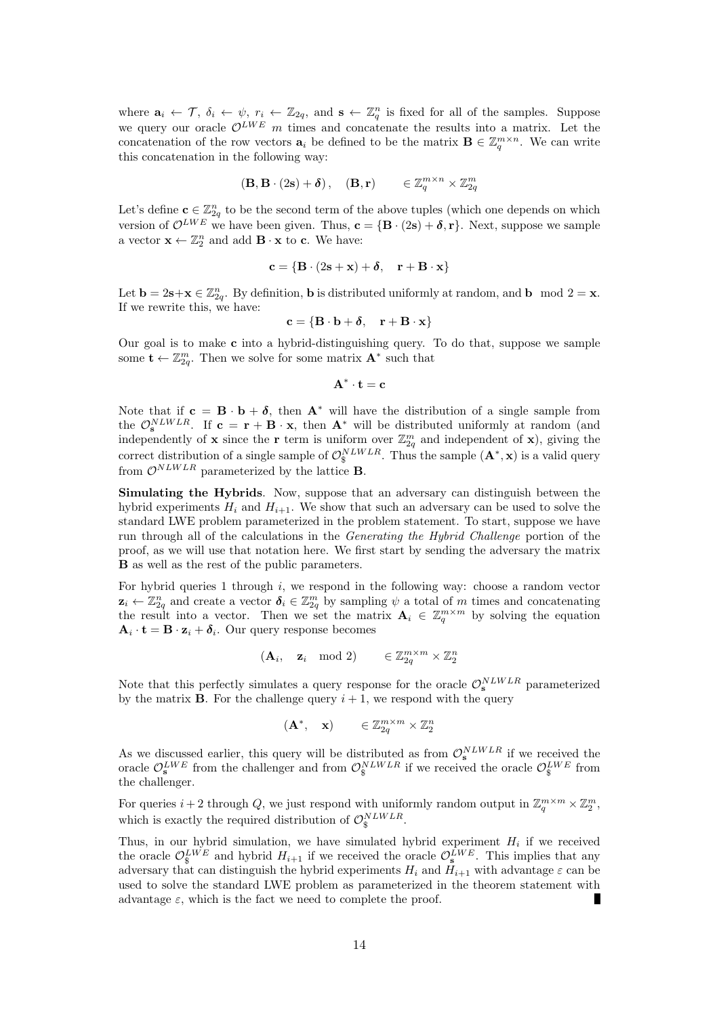where  $\mathbf{a}_i \leftarrow \mathcal{T}, \ \delta_i \leftarrow \psi, \ r_i \leftarrow \mathbb{Z}_{2q}$ , and  $\mathbf{s} \leftarrow \mathbb{Z}_q^n$  is fixed for all of the samples. Suppose we query our oracle  $\mathcal{O}^{LWE}$  m times and concatenate the results into a matrix. Let the concatenation of the row vectors  $\mathbf{a}_i$  be defined to be the matrix  $\mathbf{B} \in \mathbb{Z}_q^{m \times n}$ . We can write this concatenation in the following way:

$$
(\mathbf{B}, \mathbf{B} \cdot (2\mathbf{s}) + \boldsymbol{\delta}), \quad (\mathbf{B}, \mathbf{r}) \qquad \in \mathbb{Z}_q^{m \times n} \times \mathbb{Z}_{2q}^m
$$

Let's define  $\mathbf{c} \in \mathbb{Z}_{2q}^n$  to be the second term of the above tuples (which one depends on which version of  $\mathcal{O}^{LWE}$  we have been given. Thus,  $\mathbf{c} = {\mathbf{B} \cdot (2\mathbf{s}) + \mathbf{\delta}, \mathbf{r}}$ . Next, suppose we sample a vector  $\mathbf{x} \leftarrow \mathbb{Z}_2^n$  and add  $\mathbf{B} \cdot \mathbf{x}$  to **c**. We have:

$$
\mathbf{c} = \{ \mathbf{B} \cdot (2\mathbf{s} + \mathbf{x}) + \boldsymbol{\delta}, \quad \mathbf{r} + \mathbf{B} \cdot \mathbf{x} \}
$$

Let  $\mathbf{b} = 2\mathbf{s} + \mathbf{x} \in \mathbb{Z}_{2q}^n$ . By definition, **b** is distributed uniformly at random, and **b** mod  $2 = \mathbf{x}$ . If we rewrite this, we have:

$$
\mathbf{c} = \{\mathbf{B} \cdot \mathbf{b} + \boldsymbol{\delta}, \quad \mathbf{r} + \mathbf{B} \cdot \mathbf{x}\}\
$$

Our goal is to make c into a hybrid-distinguishing query. To do that, suppose we sample some  $\mathbf{t} \leftarrow \mathbb{Z}_{2q}^m$ . Then we solve for some matrix  $\mathbf{A}^*$  such that

$$
\mathbf{A}^* \cdot \mathbf{t} = \mathbf{c}
$$

Note that if  $c = B \cdot b + \delta$ , then  $A^*$  will have the distribution of a single sample from the  $\mathcal{O}_s^{NLWLR}$ . If  $c = r + B \cdot x$ , then  $A^*$  will be distributed uniformly at random (and independently of **x** since the **r** term is uniform over  $\mathbb{Z}_{2q}^m$  and independent of **x**), giving the correct distribution of a single sample of  $\mathcal{O}_{\S}^{NLWLR}$ . Thus the sample  $(\mathbf{A}^*, \mathbf{x})$  is a valid query from  $\mathcal{O}^{NLWLR}$  parameterized by the lattice **B**.

Simulating the Hybrids. Now, suppose that an adversary can distinguish between the hybrid experiments  $H_i$  and  $H_{i+1}$ . We show that such an adversary can be used to solve the standard LWE problem parameterized in the problem statement. To start, suppose we have run through all of the calculations in the Generating the Hybrid Challenge portion of the proof, as we will use that notation here. We first start by sending the adversary the matrix B as well as the rest of the public parameters.

For hybrid queries 1 through  $i$ , we respond in the following way: choose a random vector  $\mathbf{z}_i \leftarrow \mathbb{Z}_{2q}^n$  and create a vector  $\boldsymbol{\delta}_i \in \mathbb{Z}_{2q}^m$  by sampling  $\psi$  a total of m times and concatenating the result into a vector. Then we set the matrix  $\mathbf{A}_i \in \mathbb{Z}_q^{m \times m}$  by solving the equation  $\mathbf{A}_i \cdot \mathbf{t} = \mathbf{B} \cdot \mathbf{z}_i + \boldsymbol{\delta}_i$ . Our query response becomes

$$
(\mathbf{A}_i, \quad \mathbf{z}_i \mod 2) \qquad \in \mathbb{Z}_{2q}^{m \times m} \times \mathbb{Z}_2^n
$$

Note that this perfectly simulates a query response for the oracle  $\mathcal{O}_{s}^{NLWLR}$  parameterized by the matrix **B**. For the challenge query  $i + 1$ , we respond with the query

$$
(\mathbf{A}^*, \quad \mathbf{x}) \qquad \in \mathbb{Z}_{2q}^{m \times m} \times \mathbb{Z}_2^n
$$

As we discussed earlier, this query will be distributed as from  $\mathcal{O}_{s}^{NLWLR}$  if we received the oracle  $\mathcal{O}_s^{LWE}$  from the challenger and from  $\mathcal{O}_s^{NLWLR}$  if we received the oracle  $\mathcal{O}_s^{LWE}$  from the challenger.

For queries  $i + 2$  through Q, we just respond with uniformly random output in  $\mathbb{Z}_q^{m \times m} \times \mathbb{Z}_2^m$ , which is exactly the required distribution of  $\mathcal{O}_{\$}^{NLWLR}$ .

Thus, in our hybrid simulation, we have simulated hybrid experiment  $H_i$  if we received the oracle  $\mathcal{O}_\$^{LWE}$  and hybrid  $H_{i+1}$  if we received the oracle  $\mathcal{O}_\$^{LWE}$ . This implies that any adversary that can distinguish the hybrid experiments  $H_i$  and  $H_{i+1}$  with advantage  $\varepsilon$  can be used to solve the standard LWE problem as parameterized in the theorem statement with advantage  $\varepsilon$ , which is the fact we need to complete the proof.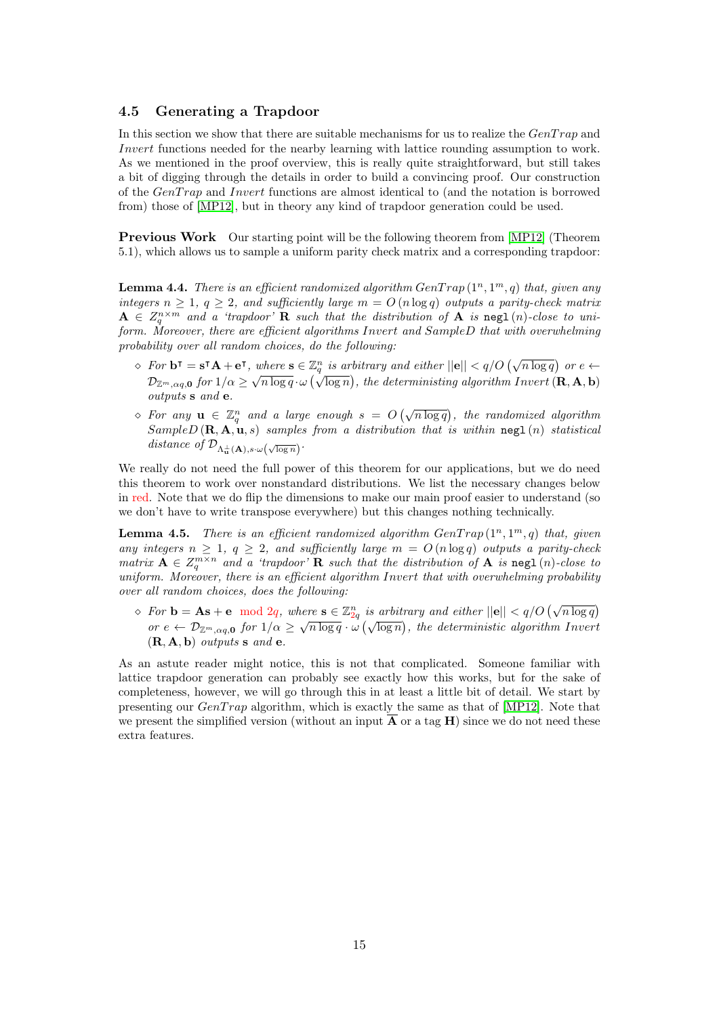#### 4.5 Generating a Trapdoor

In this section we show that there are suitable mechanisms for us to realize the  $GenTrap$  and Invert functions needed for the nearby learning with lattice rounding assumption to work. As we mentioned in the proof overview, this is really quite straightforward, but still takes a bit of digging through the details in order to build a convincing proof. Our construction of the  $GenTrap$  and Invert functions are almost identical to (and the notation is borrowed from) those of [\[MP12\]](#page-20-5), but in theory any kind of trapdoor generation could be used.

Previous Work Our starting point will be the following theorem from [\[MP12\]](#page-20-5) (Theorem 5.1), which allows us to sample a uniform parity check matrix and a corresponding trapdoor:

**Lemma 4.4.** There is an efficient randomized algorithm  $GenTrap(1^n, 1^m, q)$  that, given any integers  $n \geq 1$ ,  $q \geq 2$ , and sufficiently large  $m = O(n \log q)$  outputs a parity-check matrix  $A \in Z_q^{n \times m}$  and a 'trapdoor' R such that the distribution of A is negl (n)-close to uniform. Moreover, there are efficient algorithms Invert and SampleD that with overwhelming probability over all random choices, do the following:

- $\Diamond$  For  $\mathbf{b}^{\mathsf{T}} = \mathbf{s}^{\mathsf{T}} \mathbf{A} + \mathbf{e}^{\mathsf{T}}$ , where  $\mathbf{s} \in \mathbb{Z}_q^n$  is arbitrary and either  $||\mathbf{e}|| < q/O$   $(\sqrt{n \log q})$  or  $e \leftarrow$  $\mathcal{D}_{\mathbb{Z}^m,\alpha q, \mathbf{0}}$  for  $1/\alpha \geq \sqrt{n \log q} \cdot \omega \left(\sqrt{\log n}\right)$ , the deterministing algorithm Invert  $(\mathbf{R}, \mathbf{A}, \mathbf{b})$ outputs s and e.
- ↑ For any  $\mathbf{u} \in \mathbb{Z}_q^n$  and a large enough  $s = O\left(\sqrt{n \log q}\right)$ , the randomized algorithm  $SampleD(\mathbf{R}, \mathbf{A}, \mathbf{u}, s)$  samples from a distribution that is within  $\mathtt{negl}(n)$  statistical distance of  $\mathcal{D}_{\Lambda_{\mathbf{u}}^{\perp}(\mathbf{A}),s\cdot\omega(\sqrt{\log n})}$ .

We really do not need the full power of this theorem for our applications, but we do need this theorem to work over nonstandard distributions. We list the necessary changes below in red. Note that we do flip the dimensions to make our main proof easier to understand (so we don't have to write transpose everywhere) but this changes nothing technically.

<span id="page-14-0"></span>**Lemma 4.5.** There is an efficient randomized algorithm  $GenTrap(1^n, 1^m, q)$  that, given any integers  $n \geq 1$ ,  $q \geq 2$ , and sufficiently large  $m = O(n \log q)$  outputs a parity-check matrix  $\mathbf{A} \in Z_q^{m \times n}$  and a 'trapdoor'  $\mathbf{R}$  such that the distribution of  $\mathbf{A}$  is negl (n)-close to uniform. Moreover, there is an efficient algorithm Invert that with overwhelming probability over all random choices, does the following:

 $\circ$  For **b** = **As** + **e** mod 2q, where  $\mathbf{s} \in \mathbb{Z}_{2q}^n$  is arbitrary and either  $||\mathbf{e}|| < q/O \left( \sqrt{n \log q} \right)$ or  $\mathcal{D} = \mathbf{A}\mathbf{s} + \mathbf{e}$  independence  $\mathbf{s} \in \mathbb{Z}_{2q}$  is dividing that each  $|\mathbf{e}_\parallel| \leq q/\mathcal{O}$  ( $\sqrt{n \log q}$ )<br>or  $e \leftarrow \mathcal{D}_{\mathbb{Z}^m, \alpha q, \mathbf{0}}$  for  $1/\alpha \geq \sqrt{n \log q} \cdot \omega \left( \sqrt{\log n} \right)$ , the deterministic algorithm Inv  $(\mathbf{R}, \mathbf{A}, \mathbf{b})$  outputs  $\mathbf{s}$  and  $\mathbf{e}$ .

As an astute reader might notice, this is not that complicated. Someone familiar with lattice trapdoor generation can probably see exactly how this works, but for the sake of completeness, however, we will go through this in at least a little bit of detail. We start by presenting our  $GenTrap$  algorithm, which is exactly the same as that of [\[MP12\]](#page-20-5). Note that we present the simplified version (without an input  $\overline{A}$  or a tag H) since we do not need these extra features.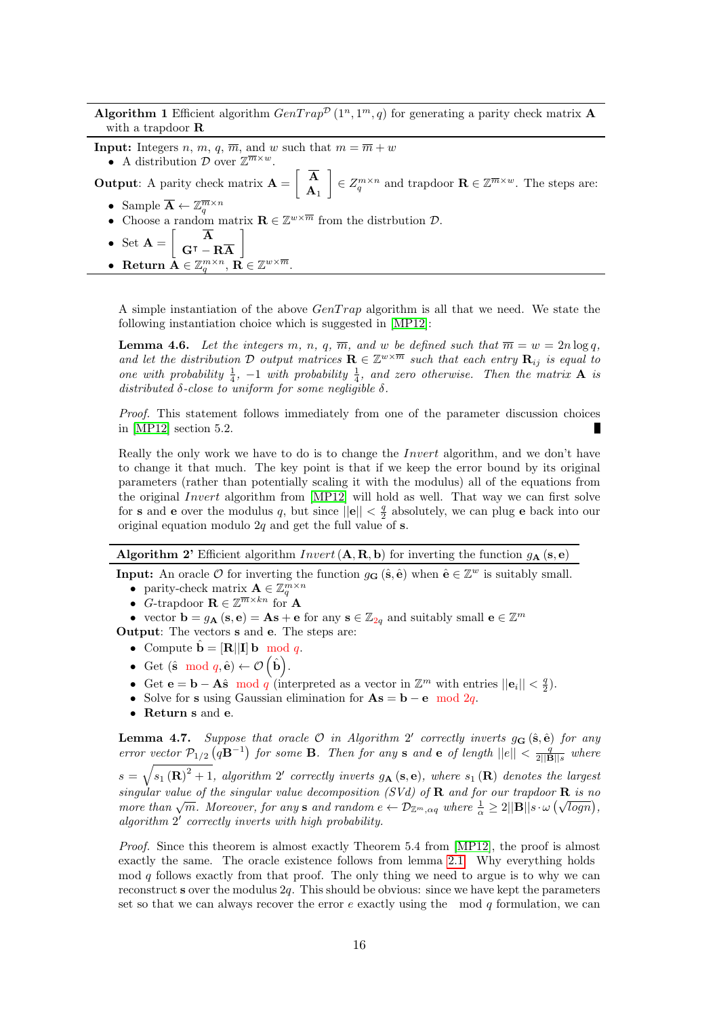**Algorithm 1** Efficient algorithm  $GenTrap^{\mathcal{D}}(1^n, 1^m, q)$  for generating a parity check matrix **A** with a trapdoor R

**Input:** Integers n, m, q,  $\overline{m}$ , and w such that  $m = \overline{m} + w$ • A distribution  $\mathcal D$  over  $\mathbb Z^{\overline{m} \times w}$ .

**Output:** A parity check matrix  $\mathbf{A} = \begin{bmatrix} \overline{\mathbf{A}} \\ \overline{\mathbf{A}} \end{bmatrix}$  $A<sub>1</sub>$  $\overline{C} \in \mathbb{Z}_q^{m \times n}$  and trapdoor  $\mathbf{R} \in \mathbb{Z}^{\overline{m} \times w}$ . The steps are:

- Sample  $\overline{A} \leftarrow \mathbb{Z}_q^{\overline{m} \times n}$ <br>• Choose a random matrix  $\mathbf{R} \in \mathbb{Z}^{w \times \overline{m}}$  from the distrbution  $\mathcal{D}$ .
- Set  $A = \begin{bmatrix} A \end{bmatrix}$  $\mathbf{G}^{\intercal} - \mathbf{R}\overline{\mathbf{A}}$ 1
- Return  $\bar{\mathbf{A}} \in \mathbb{Z}_q^{m \times n}, \, \bar{\mathbf{R}} \in \mathbb{Z}^{w \times \overline{m}}.$

A simple instantiation of the above  $GenTrap$  algorithm is all that we need. We state the following instantiation choice which is suggested in [\[MP12\]](#page-20-5):

<span id="page-15-0"></span>**Lemma 4.6.** Let the integers m, n, q,  $\overline{m}$ , and w be defined such that  $\overline{m} = w = 2n \log q$ , and let the distribution D output matrices  $\mathbf{R} \in \mathbb{Z}^{w \times \overline{m}}$  such that each entry  $\mathbf{R}_{ij}$  is equal to one with probability  $\frac{1}{4}$ ,  $-1$  with probability  $\frac{1}{4}$ , and zero otherwise. Then the matrix **A** is distributed  $\delta$ -close to uniform for some negligible  $\delta$ .

Proof. This statement follows immediately from one of the parameter discussion choices in [\[MP12\]](#page-20-5) section 5.2. и

Really the only work we have to do is to change the *Invert* algorithm, and we don't have to change it that much. The key point is that if we keep the error bound by its original parameters (rather than potentially scaling it with the modulus) all of the equations from the original Invert algorithm from [\[MP12\]](#page-20-5) will hold as well. That way we can first solve for s and e over the modulus q, but since  $||e|| < \frac{q}{2}$  absolutely, we can plug e back into our original equation modulo  $2q$  and get the full value of s.

Algorithm 2' Efficient algorithm  $Invert(\mathbf{A}, \mathbf{R}, \mathbf{b})$  for inverting the function  $g_{\mathbf{A}}(\mathbf{s}, \mathbf{e})$ 

**Input:** An oracle O for inverting the function  $g_{\mathbf{G}}(\hat{\mathbf{s}}, \hat{\mathbf{e}})$  when  $\hat{\mathbf{e}} \in \mathbb{Z}^w$  is suitably small.

- parity-check matrix  $\mathbf{A} \in \mathbb{Z}_q^{m \times n}$ <br>• G-trapdoor  $\mathbf{R} \in \mathbb{Z}^{\overline{m} \times kn}$  for  $\mathbf{A}$
- 

• vector **b** =  $g_{\mathbf{A}}(\mathbf{s}, \mathbf{e}) = \mathbf{A}\mathbf{s} + \mathbf{e}$  for any  $\mathbf{s} \in \mathbb{Z}_{2q}$  and suitably small  $\mathbf{e} \in \mathbb{Z}^m$ Output: The vectors s and e. The steps are:

- Compute  $\hat{\mathbf{b}} = [\mathbf{R}||\mathbf{I}] \mathbf{b} \mod q$ .
- Get ( $\hat{\mathbf{s}} \mod q, \hat{\mathbf{e}} \in \mathcal{O}(\hat{\mathbf{b}}).$
- Get **e** = **b A**<sup>s</sup> mod *q*<sup> $\int$ </sup> (interpreted as a vector in  $\mathbb{Z}^m$  with entries  $||e_i|| < \frac{q}{2}$ ).
- Solve for **s** using Gaussian elimination for  $\mathbf{As} = \mathbf{b} \mathbf{e} \mod 2q$ .
- Return s and e.

<span id="page-15-1"></span>**Lemma 4.7.** Suppose that oracle  $\mathcal{O}$  in Algorithm 2' correctly inverts  $g_{\mathbf{G}}(\hat{\mathbf{s}}, \hat{\mathbf{e}})$  for any error vector  $\mathcal{P}_{1/2}(\bar{q}\mathbf{B}^{-1})$  for some **B**. Then for any **s** and **e** of length  $||e|| < \frac{q}{2||\mathbf{B}||s}$  where  $s = \sqrt{s_1(\mathbf{R})^2 + 1}$ , algorithm 2' correctly inverts  $g_\mathbf{A}(\mathbf{s}, \mathbf{e})$ , where  $s_1(\mathbf{R})$  denotes the largest singular value of the singular value decomposition  $(SVd)$  of  $\bf{R}$  and for our trapdoor  $\bf{R}$  is no singular value of the singular value decomposition (5 v d) of **R** and for our trapdoor **R** is no<br>more than  $\sqrt{m}$ . Moreover, for any **s** and random  $e \leftarrow D_{\mathbb{Z}^m, \alpha q}$  where  $\frac{1}{\alpha} \geq 2||\mathbf{B}||s \cdot \omega (\sqrt{\log n})$ , algorithm 2' correctly inverts with high probability.

Proof. Since this theorem is almost exactly Theorem 5.4 from [\[MP12\]](#page-20-5), the proof is almost exactly the same. The oracle existence follows from lemma [2.1.](#page-6-0) Why everything holds  $\mod q$  follows exactly from that proof. The only thing we need to argue is to why we can reconstruct s over the modulus  $2q$ . This should be obvious: since we have kept the parameters set so that we can always recover the error  $e$  exactly using the mod  $q$  formulation, we can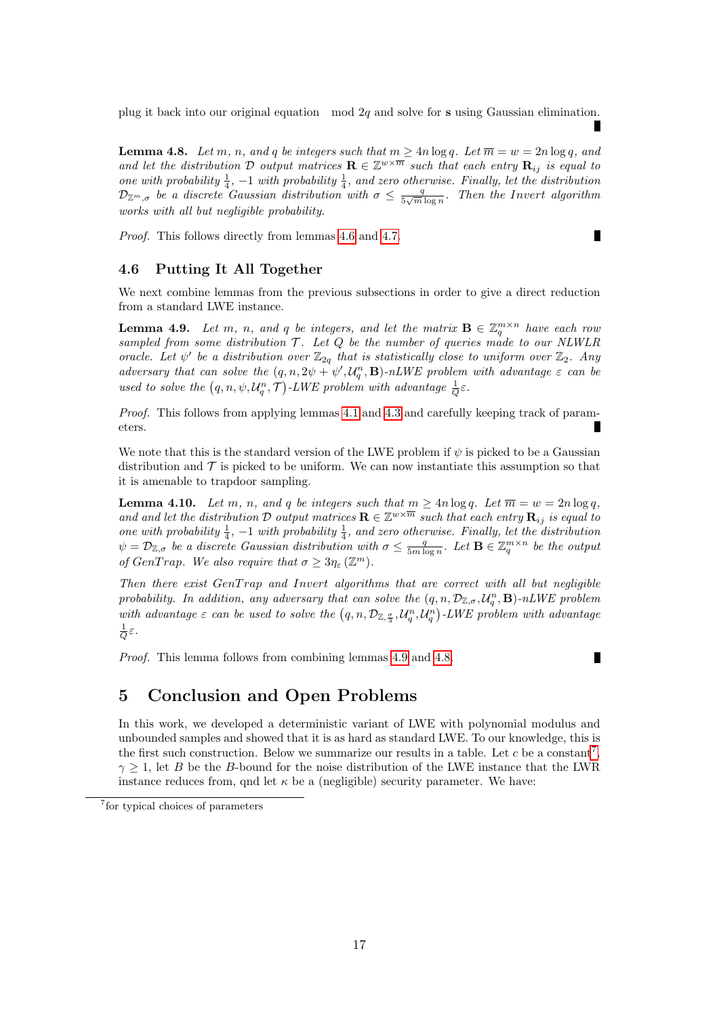plug it back into our original equation  $\mod 2q$  and solve for **s** using Gaussian elimination.

<span id="page-16-0"></span>**Lemma 4.8.** Let m, n, and q be integers such that  $m \geq 4n \log q$ . Let  $\overline{m} = w = 2n \log q$ , and and let the distribution D output matrices  $\mathbf{R} \in \mathbb{Z}^{w \times \overline{m}}$  such that each entry  $\mathbf{R}_{ij}$  is equal to one with probability  $\frac{1}{4}$ ,  $-1$  with probability  $\frac{1}{4}$ , and zero otherwise. Finally, let the distribution  $\mathcal{D}_{\mathbb{Z}^m,\sigma}$  be a discrete Gaussian distribution with  $\sigma \leq \frac{q}{5\sqrt{m}}$  $rac{q}{5\sqrt{m}\log n}$ . Then the Invert algorithm works with all but negligible probability.

Proof. This follows directly from lemmas [4.6](#page-15-0) and [4.7.](#page-15-1)

#### 4.6 Putting It All Together

We next combine lemmas from the previous subsections in order to give a direct reduction from a standard LWE instance.

<span id="page-16-2"></span>**Lemma 4.9.** Let m, n, and q be integers, and let the matrix  $\mathbf{B} \in \mathbb{Z}_q^{m \times n}$  have each row sampled from some distribution  $T$ . Let  $Q$  be the number of queries made to our NLWLR oracle. Let  $\psi'$  be a distribution over  $\mathbb{Z}_{2q}$  that is statistically close to uniform over  $\mathbb{Z}_2$ . Any adversary that can solve the  $(q, n, 2\psi + \psi', \mathcal{U}_q^n, \mathbf{B})$ -nLWE problem with advantage  $\varepsilon$  can be used to solve the  $(q, n, \psi, \mathcal{U}_q^n, \mathcal{T})$ -LWE problem with advantage  $\frac{1}{Q} \varepsilon$ .

Proof. This follows from applying lemmas [4.1](#page-11-0) and [4.3](#page-12-1) and carefully keeping track of parameters.

We note that this is the standard version of the LWE problem if  $\psi$  is picked to be a Gaussian distribution and  $\mathcal T$  is picked to be uniform. We can now instantiate this assumption so that it is amenable to trapdoor sampling.

<span id="page-16-1"></span>**Lemma 4.10.** Let m, n, and q be integers such that  $m \geq 4n \log q$ . Let  $\overline{m} = w = 2n \log q$ , and and let the distribution D output matrices  $\mathbf{R} \in \mathbb{Z}^{w \times \overline{m}}$  such that each entry  $\mathbf{R}_{ij}$  is equal to one with probability  $\frac{1}{4}$ ,  $-1$  with probability  $\frac{1}{4}$ , and zero otherwise. Finally, let the distribution  $\psi = \mathcal{D}_{\mathbb{Z},\sigma}$  be a discrete Gaussian distribution with  $\sigma \leq \frac{q}{5m \log n}$ . Let  $\mathbf{B} \in \mathbb{Z}_q^{m \times n}$  be the output of GenTrap. We also require that  $\sigma \geq 3\eta_{\varepsilon}(\mathbb{Z}^m)$ .

Then there exist GenTrap and Invert algorithms that are correct with all but negligible probability. In addition, any adversary that can solve the  $(q, n, \mathcal{D}_{\mathbb{Z},\sigma}, \mathcal{U}_q^n, \mathbf{B})$ -nLWE problem with advantage  $\varepsilon$  can be used to solve the  $(q, n, \mathcal{D}_{\mathbb{Z}, \frac{\sigma}{3}}, \mathcal{U}_q^n, \mathcal{U}_q^n)$ -LWE problem with advantage  $\frac{1}{Q}\varepsilon$  .

Proof. This lemma follows from combining lemmas [4.9](#page-16-2) and [4.8.](#page-16-0)

Г

Г

# 5 Conclusion and Open Problems

In this work, we developed a deterministic variant of LWE with polynomial modulus and unbounded samples and showed that it is as hard as standard LWE. To our knowledge, this is the first such construction. Below we summarize our results in a table. Let c be a constant<sup>[7](#page-16-3)</sup>,  $\gamma \geq 1$ , let B be the B-bound for the noise distribution of the LWE instance that the LWR instance reduces from, qnd let  $\kappa$  be a (negligible) security parameter. We have:

<span id="page-16-3"></span><sup>7</sup> for typical choices of parameters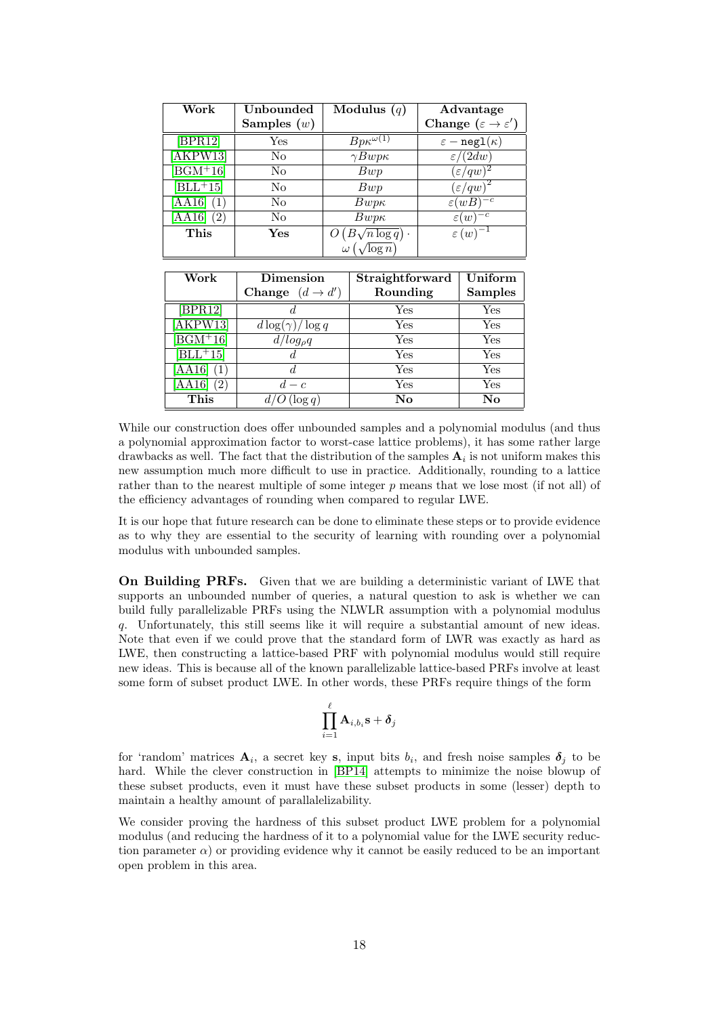| Work                        | Unbounded            | Modulus $(q)$          | Advantage                               |
|-----------------------------|----------------------|------------------------|-----------------------------------------|
|                             | Samples $(w)$        |                        | Change $(\varepsilon \to \varepsilon')$ |
| BPR12                       | $\operatorname{Yes}$ | $Bp\kappa^{\omega(1)}$ | $\varepsilon$ - negl( $\kappa$ )        |
| AKPW13                      | N <sub>0</sub>       | $\gamma B w p \kappa$  | $\varepsilon/(2dw)$                     |
| $\overline{\text{BGM}^+16}$ | No                   | Bwp                    | $(\varepsilon / qw)^2$                  |
| $ BLL+15 $                  | N <sub>0</sub>       | Bwp                    | $(\varepsilon/qw)$                      |
| [AA16]                      | N <sub>0</sub>       | $Bwp\kappa$            | $\varepsilon$ (wB                       |
| [AA16]<br>(2)               | N <sub>0</sub>       | $Bwp\kappa$            | $-c$<br>$\varepsilon(w)$                |
| <b>This</b>                 | ${\bf Yes}$          | $O(B\sqrt{n\log q})$ . | $\varepsilon(w)^{-1}$                   |
|                             |                      | $\log n$<br>$\omega$   |                                         |

| Work                        | <b>Dimension</b>            | Straightforward | Uniform        |
|-----------------------------|-----------------------------|-----------------|----------------|
|                             | Change $(d \rightarrow d')$ | Rounding        | <b>Samples</b> |
| $\overline{\text{IBPR}}12$  |                             | Yes             | Yes            |
| AKPW13                      | $d \log(\gamma) / \log q$   | Yes             | Yes            |
| $\overline{\text{BGM}^+16}$ | $d/log_{\rho}q$             | Yes             | Yes            |
| $ BLL+15 $                  | a.                          | Yes             | Yes            |
| [AA16]                      | d.                          | Yes             | Yes            |
| [AA16]<br>$^{\prime}2$ .    | $d-c$                       | Yes             | Yes            |
| This                        | $(\log q)$                  | No              | $\rm No$       |

While our construction does offer unbounded samples and a polynomial modulus (and thus a polynomial approximation factor to worst-case lattice problems), it has some rather large drawbacks as well. The fact that the distribution of the samples  $A_i$  is not uniform makes this new assumption much more difficult to use in practice. Additionally, rounding to a lattice rather than to the nearest multiple of some integer  $p$  means that we lose most (if not all) of the efficiency advantages of rounding when compared to regular LWE.

It is our hope that future research can be done to eliminate these steps or to provide evidence as to why they are essential to the security of learning with rounding over a polynomial modulus with unbounded samples.

On Building PRFs. Given that we are building a deterministic variant of LWE that supports an unbounded number of queries, a natural question to ask is whether we can build fully parallelizable PRFs using the NLWLR assumption with a polynomial modulus q. Unfortunately, this still seems like it will require a substantial amount of new ideas. Note that even if we could prove that the standard form of LWR was exactly as hard as LWE, then constructing a lattice-based PRF with polynomial modulus would still require new ideas. This is because all of the known parallelizable lattice-based PRFs involve at least some form of subset product LWE. In other words, these PRFs require things of the form

$$
\prod_{i=1}^\ell \mathbf{A}_{i,b_i} \mathbf{s} + \boldsymbol{\delta}_j
$$

for 'random' matrices  $A_i$ , a secret key s, input bits  $b_i$ , and fresh noise samples  $\delta_j$  to be hard. While the clever construction in [\[BP14\]](#page-19-3) attempts to minimize the noise blowup of these subset products, even it must have these subset products in some (lesser) depth to maintain a healthy amount of parallalelizability.

We consider proving the hardness of this subset product LWE problem for a polynomial modulus (and reducing the hardness of it to a polynomial value for the LWE security reduction parameter  $\alpha$ ) or providing evidence why it cannot be easily reduced to be an important open problem in this area.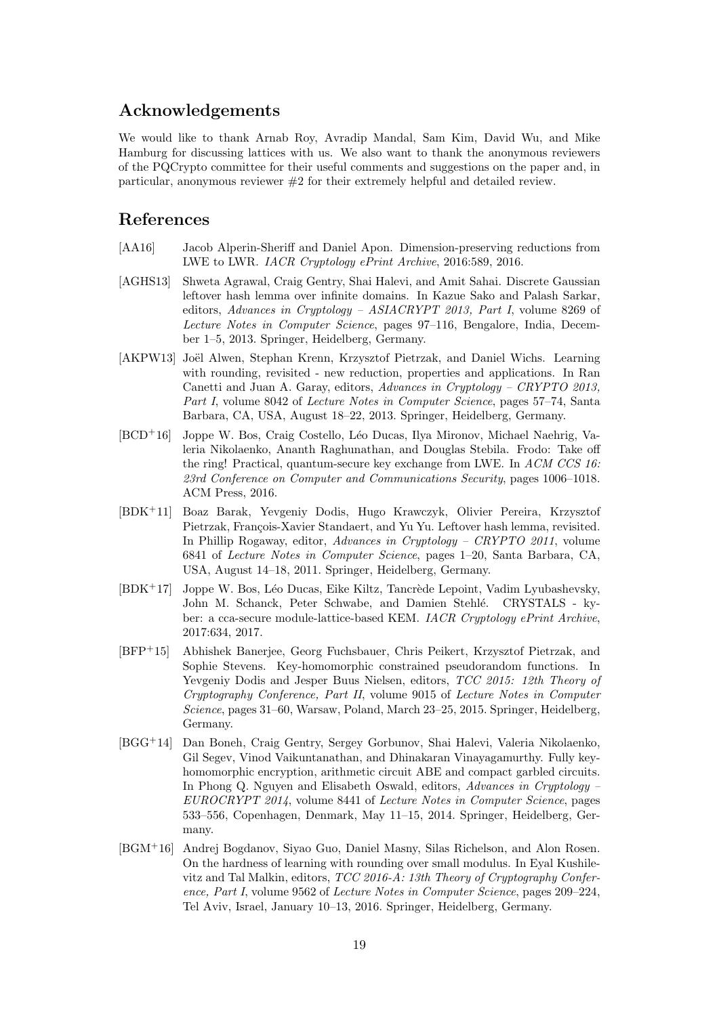# Acknowledgements

We would like to thank Arnab Roy, Avradip Mandal, Sam Kim, David Wu, and Mike Hamburg for discussing lattices with us. We also want to thank the anonymous reviewers of the PQCrypto committee for their useful comments and suggestions on the paper and, in particular, anonymous reviewer #2 for their extremely helpful and detailed review.

### References

- <span id="page-18-5"></span>[AA16] Jacob Alperin-Sheriff and Daniel Apon. Dimension-preserving reductions from LWE to LWR. IACR Cryptology ePrint Archive, 2016:589, 2016.
- <span id="page-18-8"></span>[AGHS13] Shweta Agrawal, Craig Gentry, Shai Halevi, and Amit Sahai. Discrete Gaussian leftover hash lemma over infinite domains. In Kazue Sako and Palash Sarkar, editors, Advances in Cryptology – ASIACRYPT 2013, Part I, volume 8269 of Lecture Notes in Computer Science, pages 97–116, Bengalore, India, December 1–5, 2013. Springer, Heidelberg, Germany.
- <span id="page-18-3"></span>[AKPW13] Joël Alwen, Stephan Krenn, Krzysztof Pietrzak, and Daniel Wichs. Learning with rounding, revisited - new reduction, properties and applications. In Ran Canetti and Juan A. Garay, editors, Advances in Cryptology – CRYPTO 2013, Part I, volume 8042 of Lecture Notes in Computer Science, pages 57–74, Santa Barbara, CA, USA, August 18–22, 2013. Springer, Heidelberg, Germany.
- <span id="page-18-0"></span>[BCD<sup>+</sup>16] Joppe W. Bos, Craig Costello, Léo Ducas, Ilya Mironov, Michael Naehrig, Valeria Nikolaenko, Ananth Raghunathan, and Douglas Stebila. Frodo: Take off the ring! Practical, quantum-secure key exchange from LWE. In ACM CCS 16: 23rd Conference on Computer and Communications Security, pages 1006–1018. ACM Press, 2016.
- <span id="page-18-7"></span>[BDK+11] Boaz Barak, Yevgeniy Dodis, Hugo Krawczyk, Olivier Pereira, Krzysztof Pietrzak, François-Xavier Standaert, and Yu Yu. Leftover hash lemma, revisited. In Phillip Rogaway, editor, Advances in Cryptology – CRYPTO 2011, volume 6841 of Lecture Notes in Computer Science, pages 1–20, Santa Barbara, CA, USA, August 14–18, 2011. Springer, Heidelberg, Germany.
- <span id="page-18-2"></span> $[BDK^+17]$  Joppe W. Bos, Léo Ducas, Eike Kiltz, Tancrède Lepoint, Vadim Lyubashevsky, John M. Schanck, Peter Schwabe, and Damien Stehlé. CRYSTALS - kyber: a cca-secure module-lattice-based KEM. IACR Cryptology ePrint Archive, 2017:634, 2017.
- <span id="page-18-1"></span>[BFP+15] Abhishek Banerjee, Georg Fuchsbauer, Chris Peikert, Krzysztof Pietrzak, and Sophie Stevens. Key-homomorphic constrained pseudorandom functions. In Yevgeniy Dodis and Jesper Buus Nielsen, editors, TCC 2015: 12th Theory of Cryptography Conference, Part II, volume 9015 of Lecture Notes in Computer Science, pages 31–60, Warsaw, Poland, March 23–25, 2015. Springer, Heidelberg, Germany.
- <span id="page-18-6"></span>[BGG<sup>+</sup>14] Dan Boneh, Craig Gentry, Sergey Gorbunov, Shai Halevi, Valeria Nikolaenko, Gil Segev, Vinod Vaikuntanathan, and Dhinakaran Vinayagamurthy. Fully keyhomomorphic encryption, arithmetic circuit ABE and compact garbled circuits. In Phong Q. Nguyen and Elisabeth Oswald, editors, Advances in Cryptology – EUROCRYPT 2014, volume 8441 of Lecture Notes in Computer Science, pages 533–556, Copenhagen, Denmark, May 11–15, 2014. Springer, Heidelberg, Germany.
- <span id="page-18-4"></span>[BGM<sup>+</sup>16] Andrej Bogdanov, Siyao Guo, Daniel Masny, Silas Richelson, and Alon Rosen. On the hardness of learning with rounding over small modulus. In Eyal Kushilevitz and Tal Malkin, editors, TCC 2016-A: 13th Theory of Cryptography Conference, Part I, volume 9562 of Lecture Notes in Computer Science, pages 209–224, Tel Aviv, Israel, January 10–13, 2016. Springer, Heidelberg, Germany.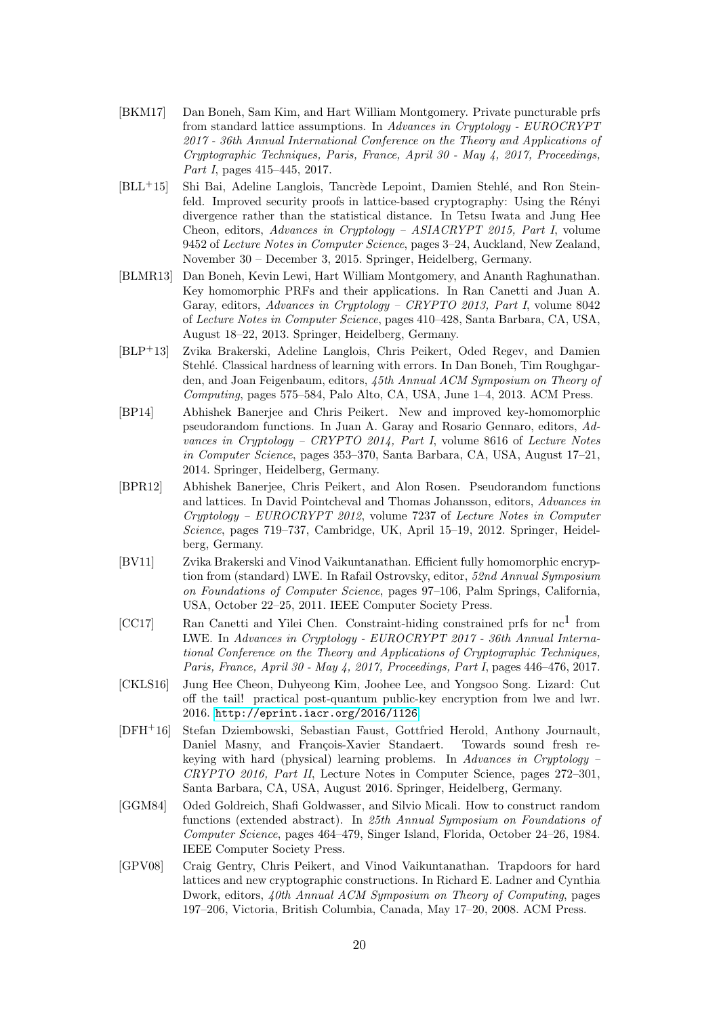- <span id="page-19-7"></span>[BKM17] Dan Boneh, Sam Kim, and Hart William Montgomery. Private puncturable prfs from standard lattice assumptions. In Advances in Cryptology - EUROCRYPT 2017 - 36th Annual International Conference on the Theory and Applications of Cryptographic Techniques, Paris, France, April 30 - May 4, 2017, Proceedings, Part I, pages 415–445, 2017.
- <span id="page-19-9"></span>[BLL<sup>+</sup>15] Shi Bai, Adeline Langlois, Tancrède Lepoint, Damien Stehlé, and Ron Steinfeld. Improved security proofs in lattice-based cryptography: Using the Rényi divergence rather than the statistical distance. In Tetsu Iwata and Jung Hee Cheon, editors, Advances in Cryptology – ASIACRYPT 2015, Part I, volume 9452 of Lecture Notes in Computer Science, pages 3–24, Auckland, New Zealand, November 30 – December 3, 2015. Springer, Heidelberg, Germany.
- <span id="page-19-2"></span>[BLMR13] Dan Boneh, Kevin Lewi, Hart William Montgomery, and Ananth Raghunathan. Key homomorphic PRFs and their applications. In Ran Canetti and Juan A. Garay, editors, Advances in Cryptology – CRYPTO 2013, Part I, volume 8042 of Lecture Notes in Computer Science, pages 410–428, Santa Barbara, CA, USA, August 18–22, 2013. Springer, Heidelberg, Germany.
- <span id="page-19-11"></span>[BLP+13] Zvika Brakerski, Adeline Langlois, Chris Peikert, Oded Regev, and Damien Stehlé. Classical hardness of learning with errors. In Dan Boneh, Tim Roughgarden, and Joan Feigenbaum, editors, 45th Annual ACM Symposium on Theory of Computing, pages 575–584, Palo Alto, CA, USA, June 1–4, 2013. ACM Press.
- <span id="page-19-3"></span>[BP14] Abhishek Banerjee and Chris Peikert. New and improved key-homomorphic pseudorandom functions. In Juan A. Garay and Rosario Gennaro, editors, Advances in Cryptology – CRYPTO 2014, Part I, volume 8616 of Lecture Notes in Computer Science, pages 353–370, Santa Barbara, CA, USA, August 17–21, 2014. Springer, Heidelberg, Germany.
- <span id="page-19-1"></span>[BPR12] Abhishek Banerjee, Chris Peikert, and Alon Rosen. Pseudorandom functions and lattices. In David Pointcheval and Thomas Johansson, editors, Advances in Cryptology – EUROCRYPT 2012, volume 7237 of Lecture Notes in Computer Science, pages 719–737, Cambridge, UK, April 15–19, 2012. Springer, Heidelberg, Germany.
- <span id="page-19-0"></span>[BV11] Zvika Brakerski and Vinod Vaikuntanathan. Efficient fully homomorphic encryption from (standard) LWE. In Rafail Ostrovsky, editor, 52nd Annual Symposium on Foundations of Computer Science, pages 97–106, Palm Springs, California, USA, October 22–25, 2011. IEEE Computer Society Press.
- <span id="page-19-6"></span>[CC17] Ran Canetti and Yilei Chen. Constraint-hiding constrained prfs for  $nc<sup>1</sup>$  from LWE. In Advances in Cryptology - EUROCRYPT 2017 - 36th Annual International Conference on the Theory and Applications of Cryptographic Techniques, Paris, France, April 30 - May 4, 2017, Proceedings, Part I, pages 446–476, 2017.
- <span id="page-19-4"></span>[CKLS16] Jung Hee Cheon, Duhyeong Kim, Joohee Lee, and Yongsoo Song. Lizard: Cut off the tail! practical post-quantum public-key encryption from lwe and lwr. 2016. <http://eprint.iacr.org/2016/1126>.
- <span id="page-19-5"></span>[DFH<sup>+</sup>16] Stefan Dziembowski, Sebastian Faust, Gottfried Herold, Anthony Journault, Daniel Masny, and François-Xavier Standaert. Towards sound fresh rekeying with hard (physical) learning problems. In Advances in Cryptology – CRYPTO 2016, Part II, Lecture Notes in Computer Science, pages 272–301, Santa Barbara, CA, USA, August 2016. Springer, Heidelberg, Germany.
- <span id="page-19-8"></span>[GGM84] Oded Goldreich, Shafi Goldwasser, and Silvio Micali. How to construct random functions (extended abstract). In 25th Annual Symposium on Foundations of Computer Science, pages 464–479, Singer Island, Florida, October 24–26, 1984. IEEE Computer Society Press.
- <span id="page-19-10"></span>[GPV08] Craig Gentry, Chris Peikert, and Vinod Vaikuntanathan. Trapdoors for hard lattices and new cryptographic constructions. In Richard E. Ladner and Cynthia Dwork, editors, 40th Annual ACM Symposium on Theory of Computing, pages 197–206, Victoria, British Columbia, Canada, May 17–20, 2008. ACM Press.